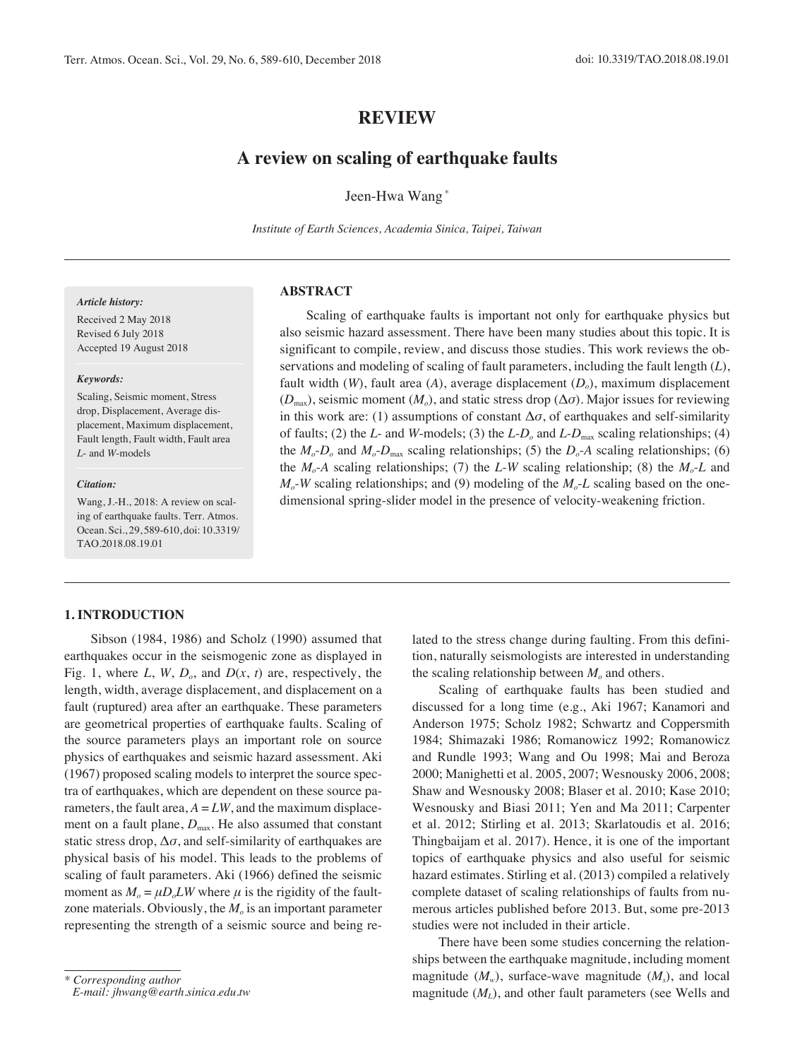# **REVIEW**

# **A review on scaling of earthquake faults**

Jeen-Hwa Wang \*

*Institute of Earth Sciences, Academia Sinica, Taipei, Taiwan*

# **Abstract**

Scaling of earthquake faults is important not only for earthquake physics but also seismic hazard assessment. There have been many studies about this topic. It is significant to compile, review, and discuss those studies. This work reviews the observations and modeling of scaling of fault parameters, including the fault length (*L*), fault width (*W*), fault area (*A*), average displacement (*D<sub>o</sub>*), maximum displacement  $(D_{\text{max}})$ , seismic moment  $(M_o)$ , and static stress drop  $(\Delta \sigma)$ . Major issues for reviewing in this work are: (1) assumptions of constant  $\Delta \sigma$ , of earthquakes and self-similarity of faults; (2) the *L*- and *W*-models; (3) the *L-D<sub>o</sub>* and *L-D*<sub>max</sub> scaling relationships; (4) the  $M_o$ - $D_o$  and  $M_o$ - $D_{\text{max}}$  scaling relationships; (5) the  $D_o$ - $A$  scaling relationships; (6) the  $M_o$ -*A* scaling relationships; (7) the *L*-*W* scaling relationship; (8) the  $M_o$ -*L* and  $M<sub>o</sub>$ -*W* scaling relationships; and (9) modeling of the  $M<sub>o</sub>$ -*L* scaling based on the onedimensional spring-slider model in the presence of velocity-weakening friction.

#### *Article history:*

Received 2 May 2018 Revised 6 July 2018 Accepted 19 August 2018

#### *Keywords:*

Scaling, Seismic moment, Stress drop, Displacement, Average displacement, Maximum displacement, Fault length, Fault width, Fault area *L*- and *W*-models

#### *Citation:*

Wang, J.-H., 2018: A review on scaling of earthquake faults. Terr. Atmos. Ocean. Sci., 29, 589-610, doi: 10.3319/ TAO.2018.08.19.01

# **1. Introduction**

Sibson (1984, 1986) and Scholz (1990) assumed that earthquakes occur in the seismogenic zone as displayed in Fig. 1, where  $L$ ,  $W$ ,  $D<sub>o</sub>$ , and  $D(x, t)$  are, respectively, the length, width, average displacement, and displacement on a fault (ruptured) area after an earthquake. These parameters are geometrical properties of earthquake faults. Scaling of the source parameters plays an important role on source physics of earthquakes and seismic hazard assessment. Aki (1967) proposed scaling models to interpret the source spectra of earthquakes, which are dependent on these source parameters, the fault area,  $A = LW$ , and the maximum displacement on a fault plane,  $D_{\text{max}}$ . He also assumed that constant static stress drop,  $\Delta \sigma$ , and self-similarity of earthquakes are physical basis of his model. This leads to the problems of scaling of fault parameters. Aki (1966) defined the seismic moment as  $M_0 = \mu D_0 L W$  where  $\mu$  is the rigidity of the faultzone materials. Obviously, the  $M<sub>o</sub>$  is an important parameter representing the strength of a seismic source and being related to the stress change during faulting. From this definition, naturally seismologists are interested in understanding the scaling relationship between  $M<sub>o</sub>$  and others.

Scaling of earthquake faults has been studied and discussed for a long time (e.g., Aki 1967; Kanamori and Anderson 1975; Scholz 1982; Schwartz and Coppersmith 1984; Shimazaki 1986; Romanowicz 1992; Romanowicz and Rundle 1993; Wang and Ou 1998; Mai and Beroza 2000; Manighetti et al. 2005, 2007; Wesnousky 2006, 2008; Shaw and Wesnousky 2008; Blaser et al. 2010; Kase 2010; Wesnousky and Biasi 2011; Yen and Ma 2011; Carpenter et al. 2012; Stirling et al. 2013; Skarlatoudis et al. 2016; Thingbaijam et al. 2017). Hence, it is one of the important topics of earthquake physics and also useful for seismic hazard estimates. Stirling et al. (2013) compiled a relatively complete dataset of scaling relationships of faults from numerous articles published before 2013. But, some pre-2013 studies were not included in their article.

There have been some studies concerning the relationships between the earthquake magnitude, including moment magnitude  $(M_w)$ , surface-wave magnitude  $(M_s)$ , and local magnitude  $(M<sub>L</sub>)$ , and other fault parameters (see Wells and

*<sup>\*</sup> Corresponding author*

*E-mail: jhwang@earth.sinica.edu.tw*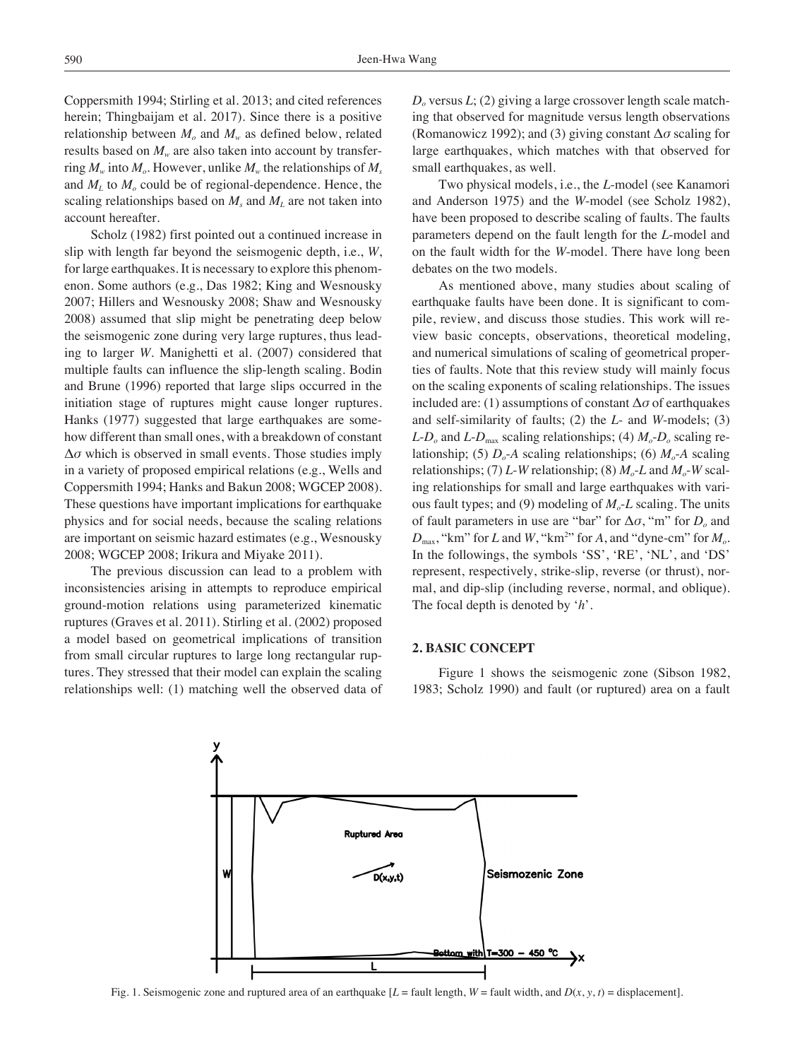Coppersmith 1994; Stirling et al. 2013; and cited references herein; Thingbaijam et al. 2017). Since there is a positive relationship between  $M_{\nu}$  and  $M_{\nu}$  as defined below, related results based on  $M<sub>w</sub>$  are also taken into account by transferring  $M_w$  into  $M_a$ . However, unlike  $M_w$  the relationships of  $M_s$ and  $M<sub>L</sub>$  to  $M<sub>o</sub>$  could be of regional-dependence. Hence, the scaling relationships based on  $M_s$  and  $M_l$  are not taken into account hereafter.

Scholz (1982) first pointed out a continued increase in slip with length far beyond the seismogenic depth, i.e., *W*, for large earthquakes. It is necessary to explore this phenomenon. Some authors (e.g., Das 1982; King and Wesnousky 2007; Hillers and Wesnousky 2008; Shaw and Wesnousky 2008) assumed that slip might be penetrating deep below the seismogenic zone during very large ruptures, thus leading to larger *W*. Manighetti et al. (2007) considered that multiple faults can influence the slip-length scaling. Bodin and Brune (1996) reported that large slips occurred in the initiation stage of ruptures might cause longer ruptures. Hanks (1977) suggested that large earthquakes are somehow different than small ones, with a breakdown of constant  $\Delta\sigma$  which is observed in small events. Those studies imply in a variety of proposed empirical relations (e.g., Wells and Coppersmith 1994; Hanks and Bakun 2008; WGCEP 2008). These questions have important implications for earthquake physics and for social needs, because the scaling relations are important on seismic hazard estimates (e.g., Wesnousky 2008; WGCEP 2008; Irikura and Miyake 2011).

The previous discussion can lead to a problem with inconsistencies arising in attempts to reproduce empirical ground-motion relations using parameterized kinematic ruptures (Graves et al. 2011). Stirling et al. (2002) proposed a model based on geometrical implications of transition from small circular ruptures to large long rectangular ruptures. They stressed that their model can explain the scaling relationships well: (1) matching well the observed data of  $D<sub>o</sub>$  versus  $L$ ; (2) giving a large crossover length scale matching that observed for magnitude versus length observations (Romanowicz 1992); and (3) giving constant Δ*σ* scaling for large earthquakes, which matches with that observed for small earthquakes, as well.

Two physical models, i.e., the *L*-model (see Kanamori and Anderson 1975) and the *W*-model (see Scholz 1982), have been proposed to describe scaling of faults. The faults parameters depend on the fault length for the *L*-model and on the fault width for the *W*-model. There have long been debates on the two models.

As mentioned above, many studies about scaling of earthquake faults have been done. It is significant to compile, review, and discuss those studies. This work will review basic concepts, observations, theoretical modeling, and numerical simulations of scaling of geometrical properties of faults. Note that this review study will mainly focus on the scaling exponents of scaling relationships. The issues included are: (1) assumptions of constant  $\Delta \sigma$  of earthquakes and self-similarity of faults; (2) the *L*- and *W*-models; (3)  $L$ - $D<sub>o</sub>$  and  $L$ - $D<sub>max</sub>$  scaling relationships; (4)  $M<sub>o</sub>$ - $D<sub>o</sub>$  scaling relationship; (5)  $D<sub>o</sub>$ -*A* scaling relationships; (6)  $M<sub>o</sub>$ -*A* scaling relationships; (7) *L*-*W* relationship; (8)  $M<sub>o</sub>$ -*L* and  $M<sub>o</sub>$ -*W* scaling relationships for small and large earthquakes with various fault types; and (9) modeling of  $M<sub>o</sub>$ -*L* scaling. The units of fault parameters in use are "bar" for Δ*σ*, "m" for *Do* and  $D_{\text{max}}$ , "km" for *L* and *W*, "km<sup>2</sup>" for *A*, and "dyne-cm" for  $M_o$ . In the followings, the symbols 'SS', 'RE', 'NL', and 'DS' represent, respectively, strike-slip, reverse (or thrust), normal, and dip-slip (including reverse, normal, and oblique). The focal depth is denoted by '*h*'.

# **2. Basic Concept**

Figure 1 shows the seismogenic zone (Sibson 1982, 1983; Scholz 1990) and fault (or ruptured) area on a fault



Fig. 1. Seismogenic zone and ruptured area of an earthquake  $[L = \text{fault length}, W = \text{fault width}, \text{and } D(x, y, t) = \text{displacement}]$ .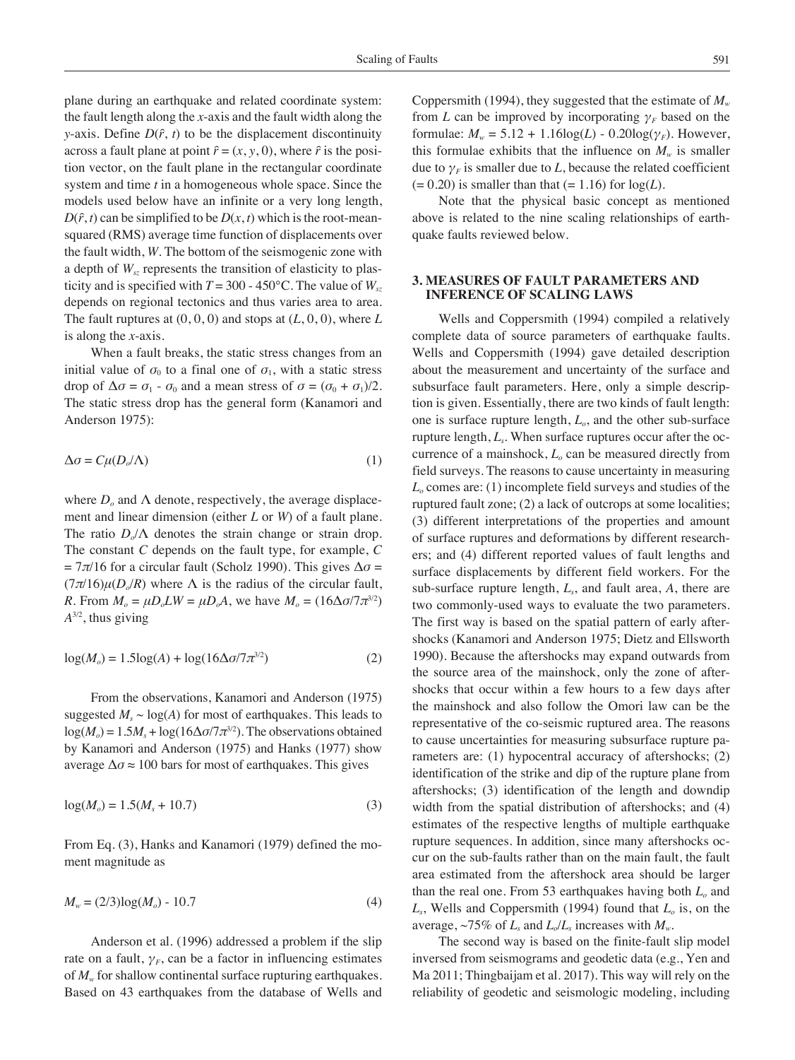plane during an earthquake and related coordinate system: the fault length along the *x*-axis and the fault width along the *y*-axis. Define  $D(\hat{r}, t)$  to be the displacement discontinuity across a fault plane at point  $\hat{r} = (x, y, 0)$ , where  $\hat{r}$  is the position vector, on the fault plane in the rectangular coordinate system and time *t* in a homogeneous whole space. Since the models used below have an infinite or a very long length,  $D(\hat{r}, t)$  can be simplified to be  $D(x, t)$  which is the root-meansquared (RMS) average time function of displacements over the fault width, *W*. The bottom of the seismogenic zone with a depth of  $W_{sz}$  represents the transition of elasticity to plasticity and is specified with  $T = 300 - 450^{\circ}$ C. The value of  $W_{sz}$ depends on regional tectonics and thus varies area to area. The fault ruptures at (0, 0, 0) and stops at (*L*, 0, 0), where *L* is along the *x*-axis.

When a fault breaks, the static stress changes from an initial value of  $\sigma_0$  to a final one of  $\sigma_1$ , with a static stress drop of  $\Delta \sigma = \sigma_1 - \sigma_0$  and a mean stress of  $\sigma = (\sigma_0 + \sigma_1)/2$ . The static stress drop has the general form (Kanamori and Anderson 1975):

$$
\Delta \sigma = C\mu (D_o/\Lambda) \tag{1}
$$

where  $D<sub>o</sub>$  and  $\Lambda$  denote, respectively, the average displacement and linear dimension (either *L* or *W*) of a fault plane. The ratio  $D_0/\Lambda$  denotes the strain change or strain drop. The constant *C* depends on the fault type, for example, *C*  $= 7\pi/16$  for a circular fault (Scholz 1990). This gives  $\Delta \sigma =$  $(7\pi/16)\mu(D_o/R)$  where  $\Lambda$  is the radius of the circular fault, *R*. From  $M_o = \mu D_o L W = \mu D_o A$ , we have  $M_o = (16 \Delta \sigma / 7 \pi^{3/2})$ *A*3/2, thus giving

$$
\log(M_o) = 1.5\log(A) + \log(16\Delta\sigma/\tau \pi^{3/2})\tag{2}
$$

From the observations, Kanamori and Anderson (1975) suggested  $M_s \sim \log(A)$  for most of earthquakes. This leads to  $log(M<sub>o</sub>) = 1.5M<sub>s</sub> + log(16\Delta\sigma/7\pi^{3/2})$ . The observations obtained by Kanamori and Anderson (1975) and Hanks (1977) show average  $\Delta \sigma \approx 100$  bars for most of earthquakes. This gives

$$
log(Mo) = 1.5(Ms + 10.7)
$$
\n(3)

From Eq. (3), Hanks and Kanamori (1979) defined the moment magnitude as

$$
M_w = (2/3)\log(M_o) - 10.7\tag{4}
$$

Anderson et al. (1996) addressed a problem if the slip rate on a fault,  $\gamma_F$ , can be a factor in influencing estimates of  $M<sub>w</sub>$  for shallow continental surface rupturing earthquakes. Based on 43 earthquakes from the database of Wells and Coppersmith (1994), they suggested that the estimate of  $M_{w}$ from *L* can be improved by incorporating  $\gamma_F$  based on the formulae:  $M_w = 5.12 + 1.16 \log(L) - 0.20 \log(\gamma_F)$ . However, this formulae exhibits that the influence on  $M_w$  is smaller due to  $\gamma_F$  is smaller due to *L*, because the related coefficient  $(= 0.20)$  is smaller than that  $(= 1.16)$  for  $log(L)$ .

Note that the physical basic concept as mentioned above is related to the nine scaling relationships of earthquake faults reviewed below.

# **3. Measures of Fault Parameters and Inference of Scaling Laws**

Wells and Coppersmith (1994) compiled a relatively complete data of source parameters of earthquake faults. Wells and Coppersmith (1994) gave detailed description about the measurement and uncertainty of the surface and subsurface fault parameters. Here, only a simple description is given. Essentially, there are two kinds of fault length: one is surface rupture length,  $L<sub>o</sub>$ , and the other sub-surface rupture length, *Ls*. When surface ruptures occur after the occurrence of a mainshock,  $L<sub>o</sub>$  can be measured directly from field surveys. The reasons to cause uncertainty in measuring *Lo* comes are: (1) incomplete field surveys and studies of the ruptured fault zone; (2) a lack of outcrops at some localities; (3) different interpretations of the properties and amount of surface ruptures and deformations by different researchers; and (4) different reported values of fault lengths and surface displacements by different field workers. For the sub-surface rupture length, *Ls*, and fault area, *A*, there are two commonly-used ways to evaluate the two parameters. The first way is based on the spatial pattern of early aftershocks (Kanamori and Anderson 1975; Dietz and Ellsworth 1990). Because the aftershocks may expand outwards from the source area of the mainshock, only the zone of aftershocks that occur within a few hours to a few days after the mainshock and also follow the Omori law can be the representative of the co-seismic ruptured area. The reasons to cause uncertainties for measuring subsurface rupture parameters are: (1) hypocentral accuracy of aftershocks; (2) identification of the strike and dip of the rupture plane from aftershocks; (3) identification of the length and downdip width from the spatial distribution of aftershocks; and (4) estimates of the respective lengths of multiple earthquake rupture sequences. In addition, since many aftershocks occur on the sub-faults rather than on the main fault, the fault area estimated from the aftershock area should be larger than the real one. From 53 earthquakes having both  $L<sub>o</sub>$  and *Ls*, Wells and Coppersmith (1994) found that *Lo* is, on the average,  $\sim$ 75% of  $L_s$  and  $L_o/L_s$  increases with  $M_w$ .

The second way is based on the finite-fault slip model inversed from seismograms and geodetic data (e.g., Yen and Ma 2011; Thingbaijam et al. 2017). This way will rely on the reliability of geodetic and seismologic modeling, including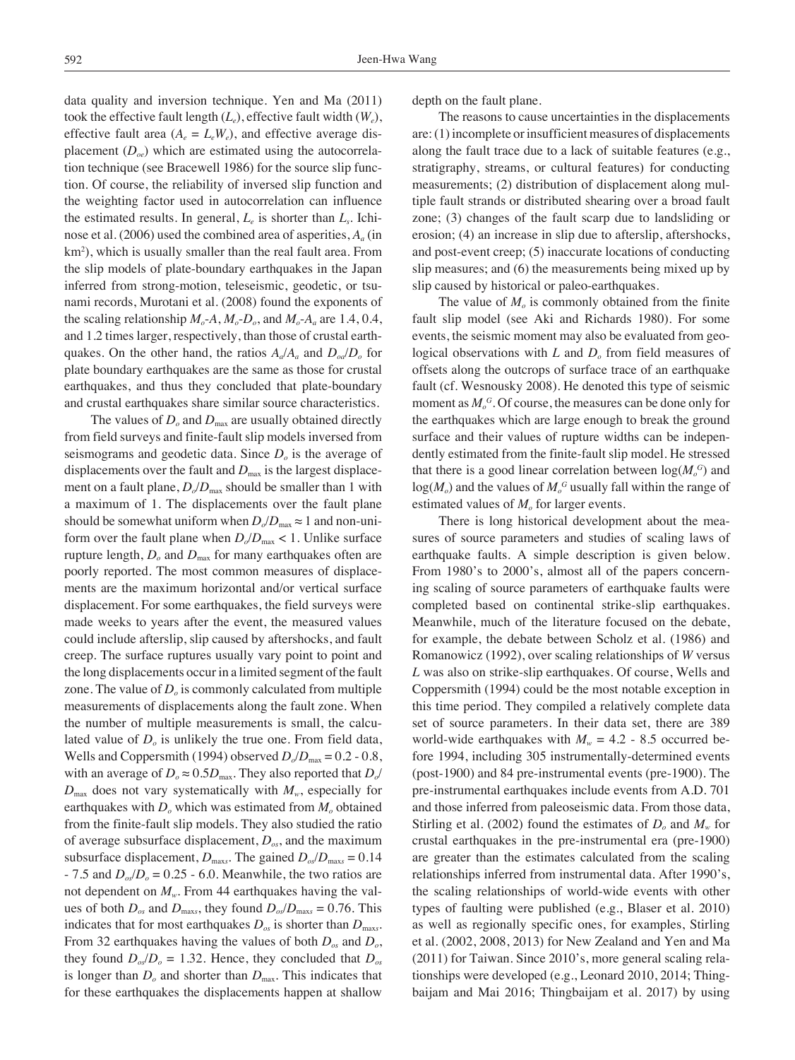data quality and inversion technique. Yen and Ma (2011) took the effective fault length  $(L_e)$ , effective fault width  $(W_e)$ , effective fault area  $(A_e = L_e W_e)$ , and effective average displacement  $(D_{oe})$  which are estimated using the autocorrelation technique (see Bracewell 1986) for the source slip function. Of course, the reliability of inversed slip function and the weighting factor used in autocorrelation can influence the estimated results. In general, *Le* is shorter than *Ls*. Ichinose et al.  $(2006)$  used the combined area of asperities,  $A_a$  (in km2 ), which is usually smaller than the real fault area. From the slip models of plate-boundary earthquakes in the Japan inferred from strong-motion, teleseismic, geodetic, or tsunami records, Murotani et al. (2008) found the exponents of the scaling relationship  $M_o$ -*A*,  $M_o$ - $D_o$ , and  $M_o$ - $A_a$  are 1.4, 0.4, and 1.2 times larger, respectively, than those of crustal earthquakes. On the other hand, the ratios  $A_a/A_a$  and  $D_{oa}/D_a$  for plate boundary earthquakes are the same as those for crustal earthquakes, and thus they concluded that plate-boundary and crustal earthquakes share similar source characteristics.

The values of  $D<sub>o</sub>$  and  $D<sub>max</sub>$  are usually obtained directly from field surveys and finite-fault slip models inversed from seismograms and geodetic data. Since *Do* is the average of displacements over the fault and  $D<sub>max</sub>$  is the largest displacement on a fault plane,  $D_o/D_{\text{max}}$  should be smaller than 1 with a maximum of 1. The displacements over the fault plane should be somewhat uniform when  $D_o/D_{\text{max}} \approx 1$  and non-uniform over the fault plane when  $D_0/D_{\text{max}} < 1$ . Unlike surface rupture length,  $D<sub>o</sub>$  and  $D<sub>max</sub>$  for many earthquakes often are poorly reported. The most common measures of displacements are the maximum horizontal and/or vertical surface displacement. For some earthquakes, the field surveys were made weeks to years after the event, the measured values could include afterslip, slip caused by aftershocks, and fault creep. The surface ruptures usually vary point to point and the long displacements occur in a limited segment of the fault zone. The value of  $D<sub>o</sub>$  is commonly calculated from multiple measurements of displacements along the fault zone. When the number of multiple measurements is small, the calculated value of  $D<sub>o</sub>$  is unlikely the true one. From field data, Wells and Coppersmith (1994) observed  $D_0/D_{\text{max}} = 0.2 - 0.8$ , with an average of  $D_0 \approx 0.5D_{\text{max}}$ . They also reported that  $D_0/$  $D_{\text{max}}$  does not vary systematically with  $M_{w}$ , especially for earthquakes with  $D<sub>o</sub>$  which was estimated from  $M<sub>o</sub>$  obtained from the finite-fault slip models. They also studied the ratio of average subsurface displacement, *Dos*, and the maximum subsurface displacement,  $D_{\text{max}}$ . The gained  $D_{\text{os}}/D_{\text{max}} = 0.14$  $-7.5$  and  $D_{\text{o}s}/D_{\text{o}} = 0.25 - 6.0$ . Meanwhile, the two ratios are not dependent on  $M_w$ . From 44 earthquakes having the values of both  $D_{os}$  and  $D_{max}$ , they found  $D_{os}/D_{max} = 0.76$ . This indicates that for most earthquakes  $D_{\text{cos}}$  is shorter than  $D_{\text{max}}$ . From 32 earthquakes having the values of both  $D_{\alpha s}$  and  $D_{\alpha}$ , they found  $D_{\text{os}}/D_{\text{o}} = 1.32$ . Hence, they concluded that  $D_{\text{os}}$ is longer than  $D<sub>o</sub>$  and shorter than  $D<sub>max</sub>$ . This indicates that for these earthquakes the displacements happen at shallow

depth on the fault plane.

The reasons to cause uncertainties in the displacements are: (1) incomplete or insufficient measures of displacements along the fault trace due to a lack of suitable features (e.g., stratigraphy, streams, or cultural features) for conducting measurements; (2) distribution of displacement along multiple fault strands or distributed shearing over a broad fault zone; (3) changes of the fault scarp due to landsliding or erosion; (4) an increase in slip due to afterslip, aftershocks, and post-event creep; (5) inaccurate locations of conducting slip measures; and (6) the measurements being mixed up by slip caused by historical or paleo-earthquakes.

The value of  $M<sub>o</sub>$  is commonly obtained from the finite fault slip model (see Aki and Richards 1980). For some events, the seismic moment may also be evaluated from geological observations with *L* and *D<sub>o</sub>* from field measures of offsets along the outcrops of surface trace of an earthquake fault (cf. Wesnousky 2008). He denoted this type of seismic moment as  $M_o^G$ . Of course, the measures can be done only for the earthquakes which are large enough to break the ground surface and their values of rupture widths can be independently estimated from the finite-fault slip model. He stressed that there is a good linear correlation between  $log(M_o^G)$  and  $log(M_o)$  and the values of  $M_o^G$  usually fall within the range of estimated values of  $M<sub>o</sub>$  for larger events.

There is long historical development about the measures of source parameters and studies of scaling laws of earthquake faults. A simple description is given below. From 1980's to 2000's, almost all of the papers concerning scaling of source parameters of earthquake faults were completed based on continental strike-slip earthquakes. Meanwhile, much of the literature focused on the debate, for example, the debate between Scholz et al. (1986) and Romanowicz (1992), over scaling relationships of *W* versus *L* was also on strike-slip earthquakes. Of course, Wells and Coppersmith (1994) could be the most notable exception in this time period. They compiled a relatively complete data set of source parameters. In their data set, there are 389 world-wide earthquakes with  $M_w = 4.2$  - 8.5 occurred before 1994, including 305 instrumentally-determined events (post-1900) and 84 pre-instrumental events (pre-1900). The pre-instrumental earthquakes include events from A.D. 701 and those inferred from paleoseismic data. From those data, Stirling et al. (2002) found the estimates of  $D<sub>o</sub>$  and  $M<sub>w</sub>$  for crustal earthquakes in the pre-instrumental era (pre-1900) are greater than the estimates calculated from the scaling relationships inferred from instrumental data. After 1990's, the scaling relationships of world-wide events with other types of faulting were published (e.g., Blaser et al. 2010) as well as regionally specific ones, for examples, Stirling et al. (2002, 2008, 2013) for New Zealand and Yen and Ma (2011) for Taiwan. Since 2010's, more general scaling relationships were developed (e.g., Leonard 2010, 2014; Thingbaijam and Mai 2016; Thingbaijam et al. 2017) by using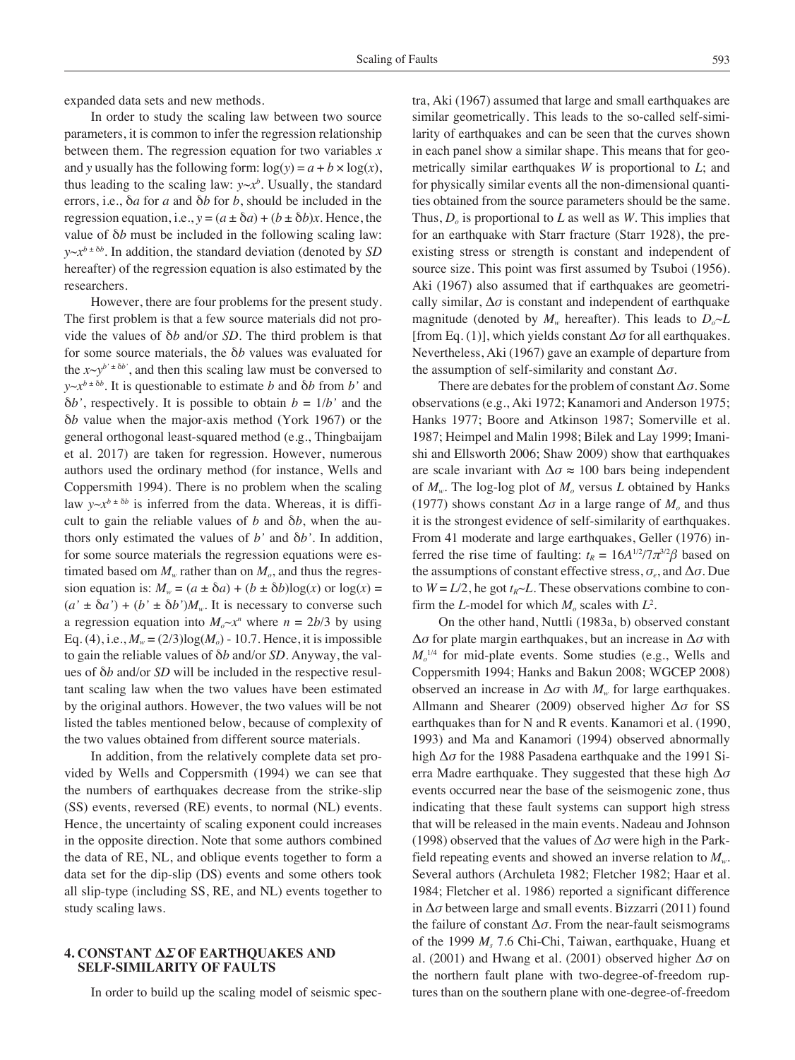expanded data sets and new methods.

In order to study the scaling law between two source parameters, it is common to infer the regression relationship between them. The regression equation for two variables *x* and *y* usually has the following form:  $log(y) = a + b \times log(x)$ , thus leading to the scaling law:  $y \sim x^b$ . Usually, the standard errors, i.e., δ*a* for *a* and δ*b* for *b*, should be included in the regression equation, i.e.,  $y = (a \pm \delta a) + (b \pm \delta b)x$ . Hence, the value of δ*b* must be included in the following scaling law: *y*~*xb* ± δ*<sup>b</sup>* . In addition, the standard deviation (denoted by *SD* hereafter) of the regression equation is also estimated by the researchers.

However, there are four problems for the present study. The first problem is that a few source materials did not provide the values of δ*b* and/or *SD*. The third problem is that for some source materials, the δ*b* values was evaluated for the  $x \sim y^{b' \pm \delta b'}$ , and then this scaling law must be conversed to  $y \sim x^{b \pm \delta b}$ . It is questionable to estimate *b* and  $\delta b$  from *b'* and  $\delta b'$ , respectively. It is possible to obtain  $b = 1/b'$  and the δ*b* value when the major-axis method (York 1967) or the general orthogonal least-squared method (e.g., Thingbaijam et al. 2017) are taken for regression. However, numerous authors used the ordinary method (for instance, Wells and Coppersmith 1994). There is no problem when the scaling law  $y \sim x^{b \pm \delta b}$  is inferred from the data. Whereas, it is difficult to gain the reliable values of  $b$  and  $\delta b$ , when the authors only estimated the values of *b'* and δ*b'*. In addition, for some source materials the regression equations were estimated based om  $M_{w}$  rather than on  $M_{o}$ , and thus the regression equation is:  $M_w = (a \pm \delta a) + (b \pm \delta b) \log(x)$  or  $\log(x) =$  $(a' \pm \delta a') + (b' \pm \delta b')M_w$ . It is necessary to converse such a regression equation into  $M_o \sim x^n$  where  $n = 2b/3$  by using Eq. (4), i.e.,  $M_w = (2/3)log(M_o) - 10.7$ . Hence, it is impossible to gain the reliable values of δ*b* and/or *SD*. Anyway, the values of δ*b* and/or *SD* will be included in the respective resultant scaling law when the two values have been estimated by the original authors. However, the two values will be not listed the tables mentioned below, because of complexity of the two values obtained from different source materials.

In addition, from the relatively complete data set provided by Wells and Coppersmith (1994) we can see that the numbers of earthquakes decrease from the strike-slip (SS) events, reversed (RE) events, to normal (NL) events. Hence, the uncertainty of scaling exponent could increases in the opposite direction. Note that some authors combined the data of RE, NL, and oblique events together to form a data set for the dip-slip (DS) events and some others took all slip-type (including SS, RE, and NL) events together to study scaling laws.

# **4. Constant Δ***σ* **of Earthquakes and Self-similarity of Faults**

In order to build up the scaling model of seismic spec-

tra, Aki (1967) assumed that large and small earthquakes are similar geometrically. This leads to the so-called self-similarity of earthquakes and can be seen that the curves shown in each panel show a similar shape. This means that for geometrically similar earthquakes *W* is proportional to *L*; and for physically similar events all the non-dimensional quantities obtained from the source parameters should be the same. Thus,  $D<sub>o</sub>$  is proportional to *L* as well as *W*. This implies that for an earthquake with Starr fracture (Starr 1928), the preexisting stress or strength is constant and independent of source size. This point was first assumed by Tsuboi (1956). Aki (1967) also assumed that if earthquakes are geometrically similar,  $\Delta \sigma$  is constant and independent of earthquake magnitude (denoted by  $M_w$  hereafter). This leads to  $D_0 \sim L$ [from Eq. (1)], which yields constant Δ*σ* for all earthquakes. Nevertheless, Aki (1967) gave an example of departure from the assumption of self-similarity and constant Δ*σ*.

There are debates for the problem of constant Δ*σ*. Some observations (e.g., Aki 1972; Kanamori and Anderson 1975; Hanks 1977; Boore and Atkinson 1987; Somerville et al. 1987; Heimpel and Malin 1998; Bilek and Lay 1999; Imanishi and Ellsworth 2006; Shaw 2009) show that earthquakes are scale invariant with  $\Delta \sigma \approx 100$  bars being independent of  $M_w$ . The log-log plot of  $M_o$  versus *L* obtained by Hanks (1977) shows constant  $\Delta \sigma$  in a large range of  $M_0$  and thus it is the strongest evidence of self-similarity of earthquakes. From 41 moderate and large earthquakes, Geller (1976) inferred the rise time of faulting:  $t_R = 16A^{1/2}/7\pi^{3/2}\beta$  based on the assumptions of constant effective stress,  $\sigma_e$ , and  $\Delta \sigma$ . Due to  $W = L/2$ , he got  $t_R \sim L$ . These observations combine to confirm the *L*-model for which  $M_0$  scales with  $L^2$ .

On the other hand, Nuttli (1983a, b) observed constant Δ*σ* for plate margin earthquakes, but an increase in Δ*σ* with  $M_o^{1/4}$  for mid-plate events. Some studies (e.g., Wells and Coppersmith 1994; Hanks and Bakun 2008; WGCEP 2008) observed an increase in  $\Delta \sigma$  with  $M_w$  for large earthquakes. Allmann and Shearer (2009) observed higher Δ*σ* for SS earthquakes than for N and R events. Kanamori et al. (1990, 1993) and Ma and Kanamori (1994) observed abnormally high Δ*σ* for the 1988 Pasadena earthquake and the 1991 Sierra Madre earthquake. They suggested that these high Δ*σ* events occurred near the base of the seismogenic zone, thus indicating that these fault systems can support high stress that will be released in the main events. Nadeau and Johnson (1998) observed that the values of Δ*σ* were high in the Parkfield repeating events and showed an inverse relation to *Mw*. Several authors (Archuleta 1982; Fletcher 1982; Haar et al. 1984; Fletcher et al. 1986) reported a significant difference in Δ*σ* between large and small events. Bizzarri (2011) found the failure of constant  $\Delta \sigma$ . From the near-fault seismograms of the 1999 *Ms* 7.6 Chi-Chi, Taiwan, earthquake, Huang et al. (2001) and Hwang et al. (2001) observed higher Δ*σ* on the northern fault plane with two-degree-of-freedom ruptures than on the southern plane with one-degree-of-freedom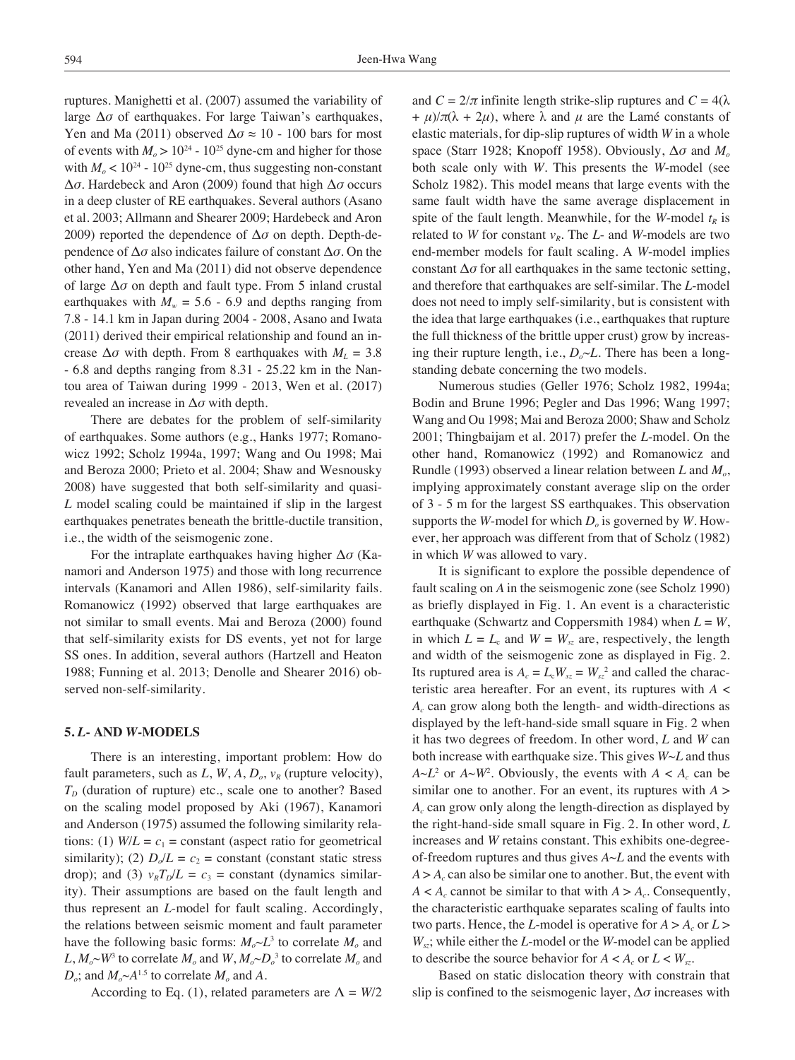ruptures. Manighetti et al. (2007) assumed the variability of large  $\Delta\sigma$  of earthquakes. For large Taiwan's earthquakes, Yen and Ma (2011) observed  $\Delta \sigma \approx 10$  - 100 bars for most of events with  $M_0 > 10^{24}$  - 10<sup>25</sup> dyne-cm and higher for those with  $M_{o}$  < 10<sup>24</sup> - 10<sup>25</sup> dyne-cm, thus suggesting non-constant Δ*σ*. Hardebeck and Aron (2009) found that high Δ*σ* occurs in a deep cluster of RE earthquakes. Several authors (Asano et al. 2003; Allmann and Shearer 2009; Hardebeck and Aron 2009) reported the dependence of Δ*σ* on depth. Depth-dependence of Δ*σ* also indicates failure of constant Δ*σ*. On the other hand, Yen and Ma (2011) did not observe dependence of large Δ*σ* on depth and fault type. From 5 inland crustal earthquakes with  $M_w = 5.6 - 6.9$  and depths ranging from 7.8 - 14.1 km in Japan during 2004 - 2008, Asano and Iwata (2011) derived their empirical relationship and found an increase  $\Delta \sigma$  with depth. From 8 earthquakes with  $M_L = 3.8$ - 6.8 and depths ranging from 8.31 - 25.22 km in the Nantou area of Taiwan during 1999 - 2013, Wen et al. (2017) revealed an increase in Δ*σ* with depth.

There are debates for the problem of self-similarity of earthquakes. Some authors (e.g., Hanks 1977; Romanowicz 1992; Scholz 1994a, 1997; Wang and Ou 1998; Mai and Beroza 2000; Prieto et al. 2004; Shaw and Wesnousky 2008) have suggested that both self-similarity and quasi-*L* model scaling could be maintained if slip in the largest earthquakes penetrates beneath the brittle-ductile transition, i.e., the width of the seismogenic zone.

For the intraplate earthquakes having higher Δ*σ* (Kanamori and Anderson 1975) and those with long recurrence intervals (Kanamori and Allen 1986), self-similarity fails. Romanowicz (1992) observed that large earthquakes are not similar to small events. Mai and Beroza (2000) found that self-similarity exists for DS events, yet not for large SS ones. In addition, several authors (Hartzell and Heaton 1988; Funning et al. 2013; Denolle and Shearer 2016) observed non-self-similarity.

### **5.** *L***- and** *W***-models**

There is an interesting, important problem: How do fault parameters, such as  $L$ ,  $W$ ,  $A$ ,  $D<sub>o</sub>$ ,  $v<sub>R</sub>$  (rupture velocity),  $T<sub>D</sub>$  (duration of rupture) etc., scale one to another? Based on the scaling model proposed by Aki (1967), Kanamori and Anderson (1975) assumed the following similarity relations: (1)  $W/L = c_1$  = constant (aspect ratio for geometrical similarity); (2)  $D_0/L = c_2$  = constant (constant static stress drop); and (3)  $v_R T_D/L = c_3$  = constant (dynamics similarity). Their assumptions are based on the fault length and thus represent an *L*-model for fault scaling. Accordingly, the relations between seismic moment and fault parameter have the following basic forms:  $M_o \sim L^3$  to correlate  $M_o$  and  $L, M_o \sim W^3$  to correlate  $M_o$  and  $W, M_o \sim D_o^3$  to correlate  $M_o$  and  $D_o$ ; and  $M_o \sim A^{1.5}$  to correlate  $M_o$  and A.

According to Eq. (1), related parameters are  $\Lambda = W/2$ 

and  $C = 2/\pi$  infinite length strike-slip ruptures and  $C = 4(\lambda)$  $+ \mu$ / $\pi(\lambda + 2\mu)$ , where  $\lambda$  and  $\mu$  are the Lamé constants of elastic materials, for dip-slip ruptures of width *W* in a whole space (Starr 1928; Knopoff 1958). Obviously,  $\Delta \sigma$  and *M*<sub>o</sub> both scale only with *W*. This presents the *W*-model (see Scholz 1982). This model means that large events with the same fault width have the same average displacement in spite of the fault length. Meanwhile, for the *W*-model  $t_R$  is related to *W* for constant  $v_R$ . The *L*- and *W*-models are two end-member models for fault scaling. A *W*-model implies constant  $\Delta \sigma$  for all earthquakes in the same tectonic setting, and therefore that earthquakes are self-similar. The *L*-model does not need to imply self-similarity, but is consistent with the idea that large earthquakes (i.e., earthquakes that rupture the full thickness of the brittle upper crust) grow by increasing their rupture length, i.e.,  $D_0 \sim L$ . There has been a longstanding debate concerning the two models.

Numerous studies (Geller 1976; Scholz 1982, 1994a; Bodin and Brune 1996; Pegler and Das 1996; Wang 1997; Wang and Ou 1998; Mai and Beroza 2000; Shaw and Scholz 2001; Thingbaijam et al. 2017) prefer the *L*-model. On the other hand, Romanowicz (1992) and Romanowicz and Rundle (1993) observed a linear relation between *L* and *Mo*, implying approximately constant average slip on the order of 3 - 5 m for the largest SS earthquakes. This observation supports the *W*-model for which  $D<sub>o</sub>$  is governed by *W*. However, her approach was different from that of Scholz (1982) in which *W* was allowed to vary.

It is significant to explore the possible dependence of fault scaling on *A* in the seismogenic zone (see Scholz 1990) as briefly displayed in Fig. 1. An event is a characteristic earthquake (Schwartz and Coppersmith 1984) when *L* = *W*, in which  $L = L_c$  and  $W = W_{sz}$  are, respectively, the length and width of the seismogenic zone as displayed in Fig. 2. Its ruptured area is  $A_c = L_c W_{sz} = W_{sz}^2$  and called the characteristic area hereafter. For an event, its ruptures with *A* < *Ac* can grow along both the length- and width-directions as displayed by the left-hand-side small square in Fig. 2 when it has two degrees of freedom. In other word, *L* and *W* can both increase with earthquake size. This gives *W*~*L* and thus  $A \sim L^2$  or  $A \sim W^2$ . Obviously, the events with  $A \prec A_c$  can be similar one to another. For an event, its ruptures with *A* > *Ac* can grow only along the length-direction as displayed by the right-hand-side small square in Fig. 2. In other word, *L* increases and *W* retains constant. This exhibits one-degreeof-freedom ruptures and thus gives *A*~*L* and the events with  $A > A_c$  can also be similar one to another. But, the event with  $A < A_c$  cannot be similar to that with  $A > A_c$ . Consequently, the characteristic earthquake separates scaling of faults into two parts. Hence, the *L*-model is operative for  $A > A_c$  or  $L >$ *Wsz*; while either the *L*-model or the *W*-model can be applied to describe the source behavior for  $A < A_c$  or  $L < W_{sz}$ .

Based on static dislocation theory with constrain that slip is confined to the seismogenic layer, Δ*σ* increases with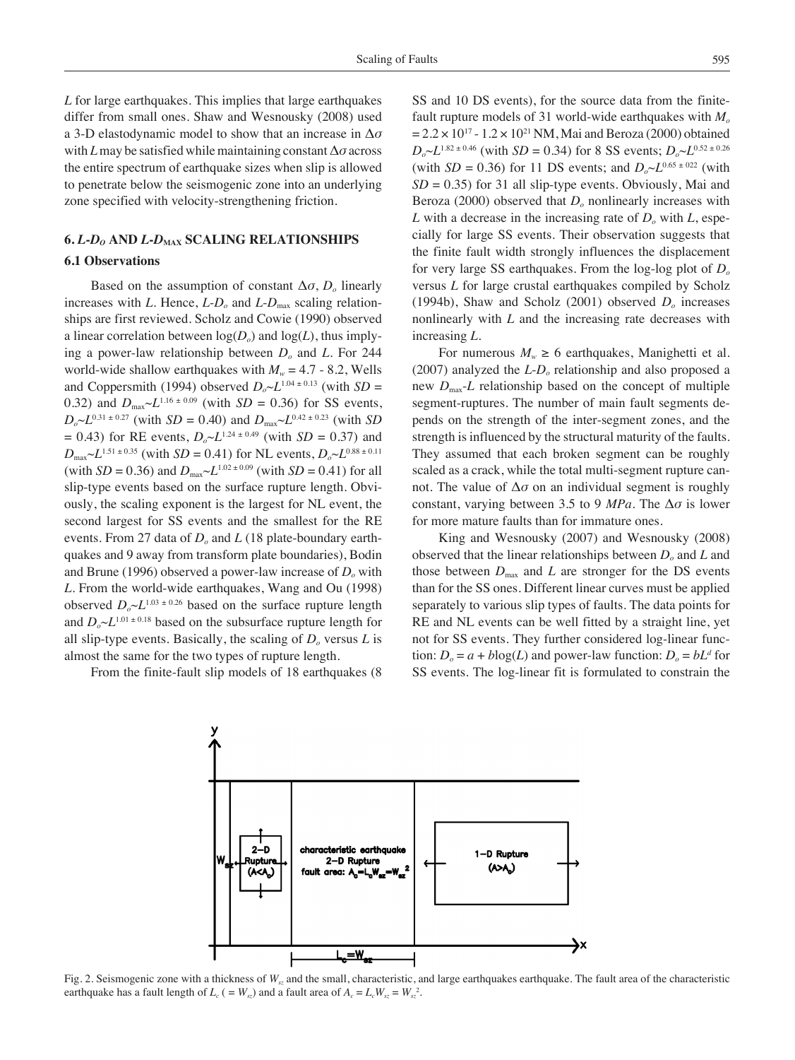*L* for large earthquakes. This implies that large earthquakes differ from small ones. Shaw and Wesnousky (2008) used a 3-D elastodynamic model to show that an increase in Δ*σ* with *L* may be satisfied while maintaining constant Δ*σ* across the entire spectrum of earthquake sizes when slip is allowed to penetrate below the seismogenic zone into an underlying zone specified with velocity-strengthening friction.

# **6.** *L***-***Do* **and** *L***-***D***max Scaling Relationships**

# **6.1 Observations**

Based on the assumption of constant  $\Delta \sigma$ , *D<sub>o</sub>* linearly increases with *L*. Hence,  $L$ - $D<sub>o</sub>$  and  $L$ - $D<sub>max</sub>$  scaling relationships are first reviewed. Scholz and Cowie (1990) observed a linear correlation between  $log(D<sub>o</sub>)$  and  $log(L)$ , thus implying a power-law relationship between *Do* and *L*. For 244 world-wide shallow earthquakes with  $M_w = 4.7 - 8.2$ , Wells and Coppersmith (1994) observed  $D_0 \sim L^{1.04 \pm 0.13}$  (with  $SD =$ 0.32) and  $D_{\text{max}} \sim L^{1.16 \pm 0.09}$  (with *SD* = 0.36) for SS events,  $D_0 \sim L^{0.31 \pm 0.27}$  (with *SD* = 0.40) and  $D_{\text{max}} \sim L^{0.42 \pm 0.23}$  (with *SD*  $= 0.43$ ) for RE events,  $D_0 \sim L^{1.24 \pm 0.49}$  (with *SD* = 0.37) and  $D_{\text{max}} \sim L^{1.51 \pm 0.35}$  (with *SD* = 0.41) for NL events,  $D_{o} \sim L^{0.88 \pm 0.11}$ (with  $SD = 0.36$ ) and  $D_{\text{max}} \sim L^{1.02 \pm 0.09}$  (with  $SD = 0.41$ ) for all slip-type events based on the surface rupture length. Obviously, the scaling exponent is the largest for NL event, the second largest for SS events and the smallest for the RE events. From 27 data of *Do* and *L* (18 plate-boundary earthquakes and 9 away from transform plate boundaries), Bodin and Brune (1996) observed a power-law increase of  $D<sub>o</sub>$  with *L*. From the world-wide earthquakes, Wang and Ou (1998) observed  $D_0 \sim L^{1.03 \pm 0.26}$  based on the surface rupture length and  $D_{\alpha} \sim L^{1.01 \pm 0.18}$  based on the subsurface rupture length for all slip-type events. Basically, the scaling of  $D_0$  versus  $L$  is almost the same for the two types of rupture length.

From the finite-fault slip models of 18 earthquakes (8

SS and 10 DS events), for the source data from the finitefault rupture models of 31 world-wide earthquakes with *M<sub>o</sub>*  $= 2.2 \times 10^{17}$  - 1.2 × 10<sup>21</sup> NM, Mai and Beroza (2000) obtained  $D_0 \sim L^{1.82 \pm 0.46}$  (with *SD* = 0.34) for 8 SS events;  $D_0 \sim L^{0.52 \pm 0.26}$ (with *SD* = 0.36) for 11 DS events; and  $D_0 \sim L^{0.65 \pm 0.22}$  (with  $SD = 0.35$ ) for 31 all slip-type events. Obviously, Mai and Beroza (2000) observed that *D<sub>o</sub>* nonlinearly increases with *L* with a decrease in the increasing rate of  $D<sub>o</sub>$  with *L*, especially for large SS events. Their observation suggests that the finite fault width strongly influences the displacement for very large SS earthquakes. From the log-log plot of *Do* versus *L* for large crustal earthquakes compiled by Scholz (1994b), Shaw and Scholz (2001) observed *Do* increases nonlinearly with *L* and the increasing rate decreases with increasing *L*.

For numerous  $M_w \ge 6$  earthquakes, Manighetti et al. (2007) analyzed the *L*-*Do* relationship and also proposed a new  $D_{\text{max}}$ -*L* relationship based on the concept of multiple segment-ruptures. The number of main fault segments depends on the strength of the inter-segment zones, and the strength is influenced by the structural maturity of the faults. They assumed that each broken segment can be roughly scaled as a crack, while the total multi-segment rupture cannot. The value of  $\Delta \sigma$  on an individual segment is roughly constant, varying between 3.5 to 9 *MPa*. The Δ*σ* is lower for more mature faults than for immature ones.

King and Wesnousky (2007) and Wesnousky (2008) observed that the linear relationships between  $D<sub>o</sub>$  and *L* and those between  $D_{\text{max}}$  and *L* are stronger for the DS events than for the SS ones. Different linear curves must be applied separately to various slip types of faults. The data points for RE and NL events can be well fitted by a straight line, yet not for SS events. They further considered log-linear function:  $D_0 = a + b \log(L)$  and power-law function:  $D_0 = bL^d$  for SS events. The log-linear fit is formulated to constrain the



Fig. 2. Seismogenic zone with a thickness of  $W_s$  and the small, characteristic, and large earthquakes earthquake. The fault area of the characteristic earthquake has a fault length of  $L_c$  ( =  $W_{sz}$ ) and a fault area of  $A_c = L_c W_{sz} = W_{sz}^2$ .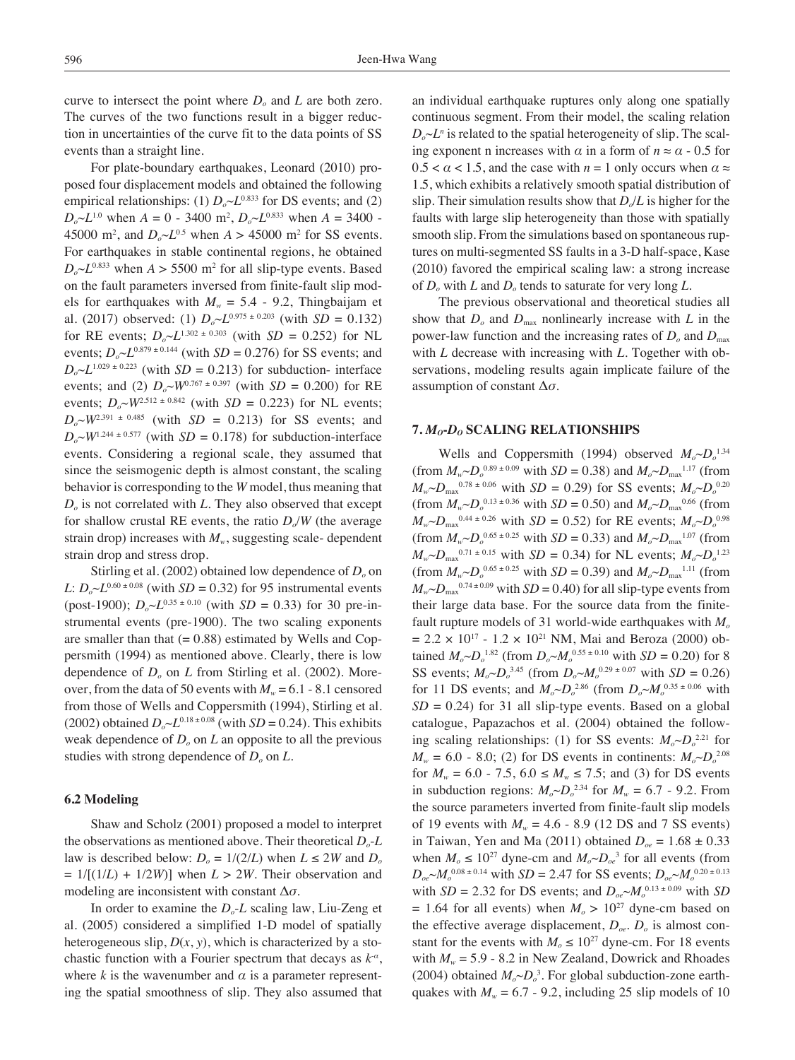curve to intersect the point where  $D_0$  and  $L$  are both zero. The curves of the two functions result in a bigger reduction in uncertainties of the curve fit to the data points of SS events than a straight line.

For plate-boundary earthquakes, Leonard (2010) proposed four displacement models and obtained the following empirical relationships: (1)  $D_0 \sim L^{0.833}$  for DS events; and (2)  $D_o \sim L^{1.0}$  when  $A = 0$  - 3400 m<sup>2</sup>,  $D_o \sim L^{0.833}$  when  $A = 3400$  -45000 m<sup>2</sup>, and  $D_0 \sim L^{0.5}$  when  $A > 45000$  m<sup>2</sup> for SS events. For earthquakes in stable continental regions, he obtained  $D_o \sim L^{0.833}$  when  $A > 5500$  m<sup>2</sup> for all slip-type events. Based on the fault parameters inversed from finite-fault slip models for earthquakes with  $M_w = 5.4 - 9.2$ , Thingbaijam et al. (2017) observed: (1)  $D_0 \sim L^{0.975 \pm 0.203}$  (with *SD* = 0.132) for RE events;  $D_0 \sim L^{1.302 \pm 0.303}$  (with *SD* = 0.252) for NL events;  $D_o \sim L^{0.879 \pm 0.144}$  (with *SD* = 0.276) for SS events; and  $D_0 \sim L^{1.029 \pm 0.223}$  (with *SD* = 0.213) for subduction- interface events; and (2)  $D_0 \sim W^{0.767 \pm 0.397}$  (with *SD* = 0.200) for RE events;  $D_0 \sim W^{2.512 \pm 0.842}$  (with *SD* = 0.223) for NL events;  $D_0 \sim W^{2.391 \pm 0.485}$  (with *SD* = 0.213) for SS events; and  $D_0 \sim W^{1.244 \pm 0.577}$  (with *SD* = 0.178) for subduction-interface events. Considering a regional scale, they assumed that since the seismogenic depth is almost constant, the scaling behavior is corresponding to the *W* model, thus meaning that  $D<sub>o</sub>$  is not correlated with *L*. They also observed that except for shallow crustal RE events, the ratio  $D/N$  (the average strain drop) increases with  $M_{w}$ , suggesting scale- dependent strain drop and stress drop.

Stirling et al. (2002) obtained low dependence of *D<sub>o</sub>* on *L*:  $D_0 \sim L^{0.60 \pm 0.08}$  (with *SD* = 0.32) for 95 instrumental events (post-1900);  $D_0 \sim L^{0.35 \pm 0.10}$  (with *SD* = 0.33) for 30 pre-instrumental events (pre-1900). The two scaling exponents are smaller than that  $(= 0.88)$  estimated by Wells and Coppersmith (1994) as mentioned above. Clearly, there is low dependence of  $D<sub>o</sub>$  on *L* from Stirling et al. (2002). Moreover, from the data of 50 events with  $M_w = 6.1 - 8.1$  censored from those of Wells and Coppersmith (1994), Stirling et al. (2002) obtained  $D_0 \sim L^{0.18 \pm 0.08}$  (with *SD* = 0.24). This exhibits weak dependence of  $D<sub>o</sub>$  on  $L$  an opposite to all the previous studies with strong dependence of  $D<sub>o</sub>$  on  $L$ .

# **6.2 Modeling**

Shaw and Scholz (2001) proposed a model to interpret the observations as mentioned above. Their theoretical *Do*-*L* law is described below:  $D_0 = 1/(2/L)$  when  $L \le 2W$  and  $D_0$  $= 1/[(1/L) + 1/2W]$  when  $L > 2W$ . Their observation and modeling are inconsistent with constant Δ*σ*.

In order to examine the  $D<sub>o</sub>$ -*L* scaling law, Liu-Zeng et al. (2005) considered a simplified 1-D model of spatially heterogeneous slip,  $D(x, y)$ , which is characterized by a stochastic function with a Fourier spectrum that decays as  $k^{\alpha}$ , where  $k$  is the wavenumber and  $\alpha$  is a parameter representing the spatial smoothness of slip. They also assumed that an individual earthquake ruptures only along one spatially continuous segment. From their model, the scaling relation  $D_o \sim L^n$  is related to the spatial heterogeneity of slip. The scaling exponent n increases with  $\alpha$  in a form of  $n \approx \alpha$  - 0.5 for  $0.5 < \alpha < 1.5$ , and the case with  $n = 1$  only occurs when  $\alpha \approx$ 1.5, which exhibits a relatively smooth spatial distribution of slip. Their simulation results show that  $D_0/L$  is higher for the faults with large slip heterogeneity than those with spatially smooth slip. From the simulations based on spontaneous ruptures on multi-segmented SS faults in a 3-D half-space, Kase (2010) favored the empirical scaling law: a strong increase of *Do* with *L* and *Do* tends to saturate for very long *L*.

The previous observational and theoretical studies all show that  $D<sub>o</sub>$  and  $D<sub>max</sub>$  nonlinearly increase with *L* in the power-law function and the increasing rates of  $D<sub>o</sub>$  and  $D<sub>max</sub>$ with *L* decrease with increasing with *L*. Together with observations, modeling results again implicate failure of the assumption of constant Δ*σ*.

# **7.** *Mo***-***Do* **Scaling Relationships**

Wells and Coppersmith (1994) observed  $M_o \sim D_o^{1.34}$ (from  $M_w \sim D_o^{0.89 \pm 0.09}$  with  $SD = 0.38$ ) and  $M_o \sim D_{\text{max}}^{1.17}$  (from  $M_w \sim D_{\text{max}}^{0.78 \pm 0.06}$  with *SD* = 0.29) for SS events;  $M_o \sim D_o^{0.20}$ (from  $M_w \sim D_o^{0.13 \pm 0.36}$  with  $SD = 0.50$ ) and  $M_o \sim D_{\text{max}}^{0.66}$  (from  $M_w \sim D_{\text{max}}^{0.44 \pm 0.26}$  with *SD* = 0.52) for RE events;  $M_o \sim D_o^{0.98}$ (from  $M_w \sim D_0^{0.65 \pm 0.25}$  with  $SD = 0.33$ ) and  $M_o \sim D_{\text{max}}^{1.07}$  (from  $M_w \sim D_{\text{max}}^{0.71 \pm 0.15}$  with *SD* = 0.34) for NL events;  $M_o \sim D_o^{1.23}$ (from  $M_w \sim D_0^{0.65 \pm 0.25}$  with  $SD = 0.39$ ) and  $M_o \sim D_{\text{max}}^{1.11}$  (from  $M_w \sim D_{\text{max}}^{0.74 \pm 0.09}$  with *SD* = 0.40) for all slip-type events from their large data base. For the source data from the finitefault rupture models of 31 world-wide earthquakes with  $M<sub>o</sub>$  $= 2.2 \times 10^{17} - 1.2 \times 10^{21}$  NM, Mai and Beroza (2000) obtained  $M_o \sim D_o^{1.82}$  (from  $D_o \sim M_o^{0.55 \pm 0.10}$  with  $SD = 0.20$ ) for 8 SS events;  $M_o \sim D_o^{3.45}$  (from  $D_o \sim M_o^{0.29 \pm 0.07}$  with  $SD = 0.26$ ) for 11 DS events; and  $M_o \sim D_o^{2.86}$  (from  $D_o \sim M_o^{0.35 \pm 0.06}$  with  $SD = 0.24$ ) for 31 all slip-type events. Based on a global catalogue, Papazachos et al. (2004) obtained the following scaling relationships: (1) for SS events:  $M_o \sim D_o^{2.21}$  for  $M_w = 6.0 - 8.0$ ; (2) for DS events in continents:  $M_o \sim D_o^{2.08}$ for  $M_w = 6.0 - 7.5$ ,  $6.0 \le M_w \le 7.5$ ; and (3) for DS events in subduction regions:  $M_o \sim D_o^{2.34}$  for  $M_w = 6.7$  - 9.2. From the source parameters inverted from finite-fault slip models of 19 events with  $M_w = 4.6 - 8.9$  (12 DS and 7 SS events) in Taiwan, Yen and Ma (2011) obtained  $D_{oe} = 1.68 \pm 0.33$ when  $M_0 \le 10^{27}$  dyne-cm and  $M_0 \sim D_0^3$  for all events (from  $D_{oe} \sim M_o^{0.08 \pm 0.14}$  with *SD* = 2.47 for SS events;  $D_{oe} \sim M_o^{0.20 \pm 0.13}$ with  $SD = 2.32$  for DS events; and  $D_{oe} \sim M_o^{0.13 \pm 0.09}$  with *SD*  $= 1.64$  for all events) when  $M<sub>o</sub> > 10<sup>27</sup>$  dyne-cm based on the effective average displacement,  $D_{oe}$ .  $D_o$  is almost constant for the events with  $M_0 \le 10^{27}$  dyne-cm. For 18 events with  $M_w = 5.9 - 8.2$  in New Zealand, Dowrick and Rhoades (2004) obtained  $M_o \sim D_o^3$ . For global subduction-zone earthquakes with  $M_w = 6.7 - 9.2$ , including 25 slip models of 10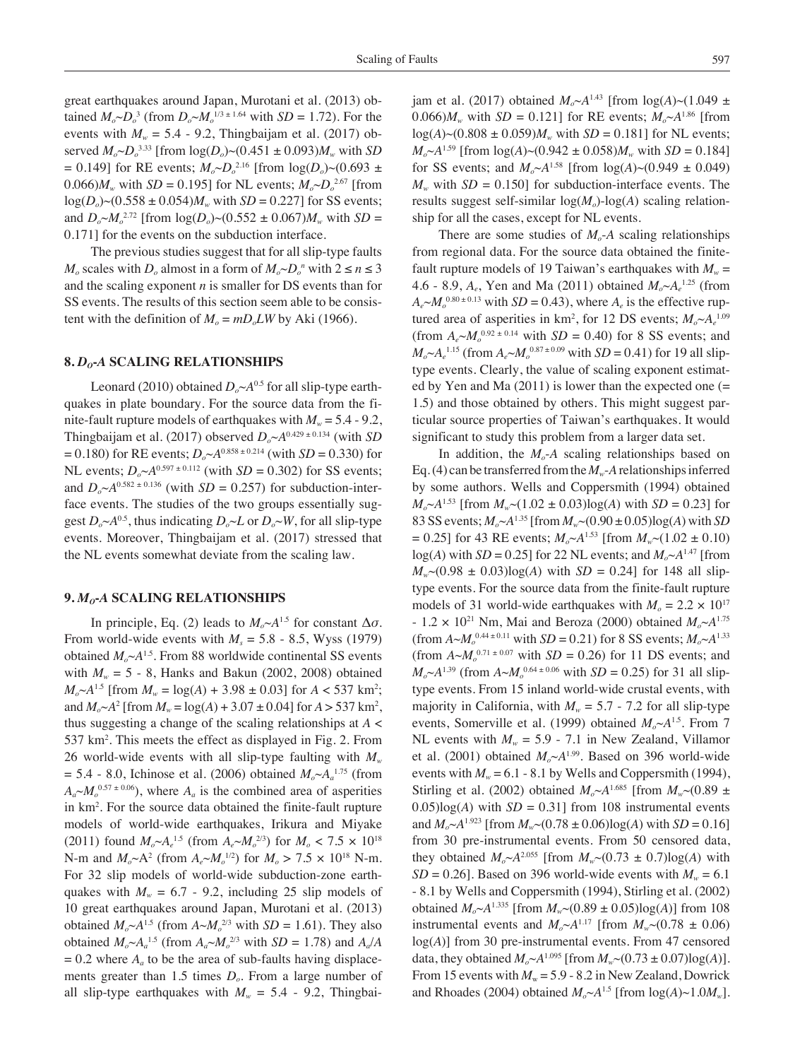great earthquakes around Japan, Murotani et al. (2013) obtained  $M_o \sim D_o^3$  (from  $D_o \sim M_o^{1/3 \pm 1.64}$  with  $SD = 1.72$ ). For the events with  $M_w = 5.4 - 9.2$ , Thingbaijam et al. (2017) observed  $M_o \sim D_o^{3.33}$  [from  $\log(D_o) \sim (0.451 \pm 0.093) M_w$  with *SD*  $= 0.149$ ] for RE events;  $M_o \sim D_o^{2.16}$  [from  $log(D_o) \sim (0.693 \pm 0.000)$ 0.066) $M_w$  with *SD* = 0.195] for NL events;  $M_o \sim D_o^{2.67}$  [from  $log(D_0)$  ~ (0.558 ± 0.054) $M_w$  with *SD* = 0.227] for SS events; and  $D_o \sim M_o^{2.72}$  [from  $\log(D_o) \sim (0.552 \pm 0.067) M_w$  with *SD* = 0.171] for the events on the subduction interface.

The previous studies suggest that for all slip-type faults *M<sub>o</sub>* scales with *D<sub>o</sub>* almost in a form of  $M_o \sim D_o^n$  with  $2 \le n \le 3$ and the scaling exponent *n* is smaller for DS events than for SS events. The results of this section seem able to be consistent with the definition of  $M<sub>o</sub> = mD<sub>o</sub>LW$  by Aki (1966).

#### **8.** *Do***-***A* **Scaling Relationships**

Leonard (2010) obtained  $D_0 \sim A^{0.5}$  for all slip-type earthquakes in plate boundary. For the source data from the finite-fault rupture models of earthquakes with  $M_w = 5.4 - 9.2$ , Thingbaijam et al. (2017) observed  $D_0 \sim A^{0.429 \pm 0.134}$  (with *SD*  $= 0.180$ ) for RE events;  $D_0 \sim A^{0.858 \pm 0.214}$  (with *SD* = 0.330) for NL events;  $D_0 \sim A^{0.597 \pm 0.112}$  (with *SD* = 0.302) for SS events; and  $D_0 \sim A^{0.582 \pm 0.136}$  (with  $SD = 0.257$ ) for subduction-interface events. The studies of the two groups essentially suggest  $D_0 \sim A^{0.5}$ , thus indicating  $D_0 \sim L$  or  $D_0 \sim W$ , for all slip-type events. Moreover, Thingbaijam et al. (2017) stressed that the NL events somewhat deviate from the scaling law.

### **9.** *Mo***-***A* **Scaling Relationships**

In principle, Eq. (2) leads to  $M_o \sim A^{1.5}$  for constant  $\Delta \sigma$ . From world-wide events with  $M_s = 5.8 - 8.5$ , Wyss (1979) obtained  $M_o \sim A^{1.5}$ . From 88 worldwide continental SS events with  $M_w = 5 - 8$ , Hanks and Bakun (2002, 2008) obtained  $M_o \sim A^{1.5}$  [from  $M_w = \log(A) + 3.98 \pm 0.03$ ] for  $A < 537$  km<sup>2</sup>; and  $M_o \sim A^2$  [from  $M_w = \log(A) + 3.07 \pm 0.04$ ] for  $A > 537$  km<sup>2</sup>, thus suggesting a change of the scaling relationships at *A* < 537 km2 . This meets the effect as displayed in Fig. 2. From 26 world-wide events with all slip-type faulting with *Mw*  $= 5.4 - 8.0$ , Ichinose et al. (2006) obtained  $M_o \sim A_a^{1.75}$  (from  $A_a \sim M_o^{0.57 \pm 0.06}$ , where  $A_a$  is the combined area of asperities in km2 . For the source data obtained the finite-fault rupture models of world-wide earthquakes, Irikura and Miyake (2011) found  $M_o \sim A_e^{1.5}$  (from  $A_e \sim M_o^{2/3}$ ) for  $M_o < 7.5 \times 10^{18}$ N-m and  $M_o \sim A^2$  (from  $A_e \sim M_o^{1/2}$ ) for  $M_o > 7.5 \times 10^{18}$  N-m. For 32 slip models of world-wide subduction-zone earthquakes with  $M_w = 6.7 - 9.2$ , including 25 slip models of 10 great earthquakes around Japan, Murotani et al. (2013) obtained  $M_o \sim A^{1.5}$  (from  $A \sim M_o^{2/3}$  with  $SD = 1.61$ ). They also obtained  $M_o \sim A_a^{1.5}$  (from  $A_a \sim M_o^{2/3}$  with  $SD = 1.78$ ) and  $A_a/A$  $= 0.2$  where  $A_a$  to be the area of sub-faults having displacements greater than 1.5 times  $D<sub>o</sub>$ . From a large number of all slip-type earthquakes with  $M_w = 5.4$  - 9.2, Thingbaijam et al. (2017) obtained  $M_0 \sim A^{1.43}$  [from  $\log(A) \sim (1.049 \pm A)^{1.43}$ 0.066) $M_w$  with  $SD = 0.121$  for RE events;  $M_o \sim A^{1.86}$  [from  $log(A)$  ~ (0.808 ± 0.059) $M_w$  with *SD* = 0.181] for NL events;  $M_o \sim A^{1.59}$  [from  $log(A) \sim (0.942 \pm 0.058) M_w$  with *SD* = 0.184] for SS events; and  $M_{\odot} \sim A^{1.58}$  [from  $log(A) \sim (0.949 \pm 0.049)$ ]  $M_w$  with  $SD = 0.150$  for subduction-interface events. The results suggest self-similar  $log(M<sub>o</sub>)$ -log(*A*) scaling relationship for all the cases, except for NL events.

There are some studies of  $M<sub>o</sub>$ -A scaling relationships from regional data. For the source data obtained the finitefault rupture models of 19 Taiwan's earthquakes with  $M_w =$ 4.6 - 8.9,  $A_e$ , Yen and Ma (2011) obtained  $M_o \sim A_e^{1.25}$  (from  $A_e \sim M_o^{0.80 \pm 0.13}$  with *SD* = 0.43), where  $A_e$  is the effective ruptured area of asperities in  $km^2$ , for 12 DS events;  $M_o \sim A_e^{1.09}$ (from  $A_e \sim M_o^{0.92 \pm 0.14}$  with  $SD = 0.40$ ) for 8 SS events; and  $M_o \sim A_e^{1.15}$  (from  $A_e \sim M_o^{0.87 \pm 0.09}$  with *SD* = 0.41) for 19 all sliptype events. Clearly, the value of scaling exponent estimated by Yen and Ma (2011) is lower than the expected one (= 1.5) and those obtained by others. This might suggest particular source properties of Taiwan's earthquakes. It would significant to study this problem from a larger data set.

In addition, the  $M<sub>o</sub>$ -*A* scaling relationships based on Eq. (4) can be transferred from the  $M_w$ -A relationships inferred by some authors. Wells and Coppersmith (1994) obtained  $M_o \sim A^{1.53}$  [from  $M_w \sim (1.02 \pm 0.03) \log(A)$  with *SD* = 0.23] for 83 SS events;  $M_0 \sim A^{1.35}$  [from  $M_w \sim (0.90 \pm 0.05) \log(A)$  with *SD*  $= 0.25$ ] for 43 RE events;  $M_o \sim A^{1.53}$  [from  $M_w \sim (1.02 \pm 0.10)$  $log(A)$  with *SD* = 0.25] for 22 NL events; and  $M_o \sim A^{1.47}$  [from  $M_{w}$  ~ (0.98  $\pm$  0.03)log(*A*) with *SD* = 0.24] for 148 all sliptype events. For the source data from the finite-fault rupture models of 31 world-wide earthquakes with  $M_0 = 2.2 \times 10^{17}$  $- 1.2 \times 10^{21}$  Nm, Mai and Beroza (2000) obtained  $M_0 \sim A^{1.75}$ (from  $A \sim M_o^{0.44 \pm 0.11}$  with  $SD = 0.21$ ) for 8 SS events;  $M_o \sim A^{1.33}$ (from  $A \sim M_o^{0.71 \pm 0.07}$  with  $SD = 0.26$ ) for 11 DS events; and  $M_o \sim A^{1.39}$  (from  $A \sim M_o^{0.64 \pm 0.06}$  with *SD* = 0.25) for 31 all sliptype events. From 15 inland world-wide crustal events, with majority in California, with  $M_w = 5.7 - 7.2$  for all slip-type events, Somerville et al. (1999) obtained  $M_o \sim A^{1.5}$ . From 7 NL events with  $M_w = 5.9 - 7.1$  in New Zealand, Villamor et al. (2001) obtained  $M_o \sim A^{1.99}$ . Based on 396 world-wide events with  $M_w = 6.1 - 8.1$  by Wells and Coppersmith (1994), Stirling et al. (2002) obtained  $M_o \sim A^{1.685}$  [from  $M_w \sim (0.89 \pm 1.002)$  $0.05$ )log(*A*) with *SD* = 0.31] from 108 instrumental events and  $M_o \sim A^{1.923}$  [from  $M_w \sim (0.78 \pm 0.06) \log(A)$  with  $SD = 0.16$ ] from 30 pre-instrumental events. From 50 censored data, they obtained  $M_o \sim A^{2.055}$  [from  $M_w \sim (0.73 \pm 0.7) \log(A)$  with  $SD = 0.26$ . Based on 396 world-wide events with  $M_w = 6.1$ - 8.1 by Wells and Coppersmith (1994), Stirling et al. (2002) obtained  $M_o \sim A^{1.335}$  [from  $M_w \sim (0.89 \pm 0.05) \log(A)$ ] from 108 instrumental events and  $M_o \sim A^{1.17}$  [from  $M_w \sim (0.78 \pm 0.06)$ log(*A*)] from 30 pre-instrumental events. From 47 censored data, they obtained  $M_o \sim A^{1.095}$  [from  $M_w \sim (0.73 \pm 0.07) \log(A)$ ]. From 15 events with  $M_w = 5.9 - 8.2$  in New Zealand, Dowrick and Rhoades (2004) obtained  $M_o \sim A^{1.5}$  [from log( $A$ )~1.0 $M_w$ ].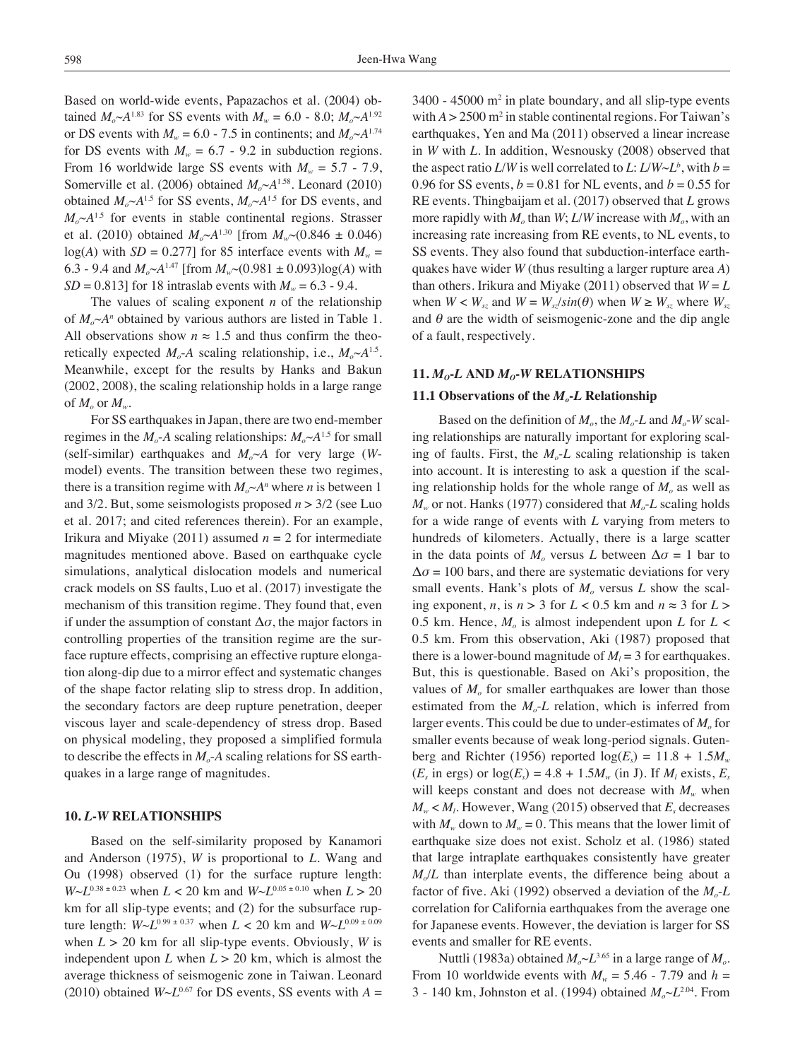Based on world-wide events, Papazachos et al. (2004) obtained  $M_o \sim A^{1.83}$  for SS events with  $M_w = 6.0$  - 8.0;  $M_o \sim A^{1.92}$ or DS events with  $M_w = 6.0 - 7.5$  in continents; and  $M_o \sim A^{1.74}$ for DS events with  $M_w = 6.7 - 9.2$  in subduction regions. From 16 worldwide large SS events with  $M_w = 5.7 - 7.9$ , Somerville et al. (2006) obtained  $M_o \sim A^{1.58}$ . Leonard (2010) obtained  $M_o \sim A^{1.5}$  for SS events,  $M_o \sim A^{1.5}$  for DS events, and  $M_o \sim A^{1.5}$  for events in stable continental regions. Strasser et al. (2010) obtained  $M_o \sim A^{1.30}$  [from  $M_w \sim (0.846 \pm 0.046)$  $log(A)$  with *SD* = 0.277] for 85 interface events with  $M_w$  = 6.3 - 9.4 and  $M_o \sim A^{1.47}$  [from  $M_w \sim (0.981 \pm 0.093) \log(A)$  with *SD* = 0.813] for 18 intraslab events with  $M_w = 6.3 - 9.4$ .

The values of scaling exponent *n* of the relationship of  $M_o \sim A^n$  obtained by various authors are listed in Table 1. All observations show  $n \approx 1.5$  and thus confirm the theoretically expected  $M_o$ -*A* scaling relationship, i.e.,  $M_o \sim A^{1.5}$ . Meanwhile, except for the results by Hanks and Bakun (2002, 2008), the scaling relationship holds in a large range of  $M_{\rm o}$  or  $M_{\rm w}$ .

For SS earthquakes in Japan, there are two end-member regimes in the  $M_o$ -*A* scaling relationships:  $M_o \sim A^{1.5}$  for small (self-similar) earthquakes and  $M_o \sim A$  for very large (*W*model) events. The transition between these two regimes, there is a transition regime with  $M_o \sim A^n$  where *n* is between 1 and 3/2. But, some seismologists proposed *n* > 3/2 (see Luo et al. 2017; and cited references therein). For an example, Irikura and Miyake (2011) assumed  $n = 2$  for intermediate magnitudes mentioned above. Based on earthquake cycle simulations, analytical dislocation models and numerical crack models on SS faults, Luo et al. (2017) investigate the mechanism of this transition regime. They found that, even if under the assumption of constant  $\Delta \sigma$ , the major factors in controlling properties of the transition regime are the surface rupture effects, comprising an effective rupture elongation along-dip due to a mirror effect and systematic changes of the shape factor relating slip to stress drop. In addition, the secondary factors are deep rupture penetration, deeper viscous layer and scale-dependency of stress drop. Based on physical modeling, they proposed a simplified formula to describe the effects in  $M<sub>o</sub>$ -A scaling relations for SS earthquakes in a large range of magnitudes.

# **10.** *L***-***W* **Relationships**

Based on the self-similarity proposed by Kanamori and Anderson (1975), *W* is proportional to *L*. Wang and Ou (1998) observed (1) for the surface rupture length:  $W \sim L^{0.38 \pm 0.23}$  when  $L < 20$  km and  $W \sim L^{0.05 \pm 0.10}$  when  $L > 20$ km for all slip-type events; and (2) for the subsurface rupture length:  $W \sim L^{0.99 \pm 0.37}$  when  $L < 20$  km and  $W \sim L^{0.09 \pm 0.09}$ when  $L > 20$  km for all slip-type events. Obviously, *W* is independent upon  $L$  when  $L > 20$  km, which is almost the average thickness of seismogenic zone in Taiwan. Leonard (2010) obtained  $W \sim L^{0.67}$  for DS events, SS events with  $A =$ 

 $3400 - 45000$  m<sup>2</sup> in plate boundary, and all slip-type events with  $A > 2500$  m<sup>2</sup> in stable continental regions. For Taiwan's earthquakes, Yen and Ma (2011) observed a linear increase in *W* with *L*. In addition, Wesnousky (2008) observed that the aspect ratio *L*/*W* is well correlated to *L*: *L*/*W*~*L*<sup>*b*</sup>, with *b* = 0.96 for SS events,  $b = 0.81$  for NL events, and  $b = 0.55$  for RE events. Thingbaijam et al. (2017) observed that *L* grows more rapidly with  $M_0$  than  $W$ ;  $L/W$  increase with  $M_0$ , with an increasing rate increasing from RE events, to NL events, to SS events. They also found that subduction-interface earthquakes have wider *W* (thus resulting a larger rupture area *A*) than others. Irikura and Miyake (2011) observed that  $W = L$ when  $W < W_{sr}$  and  $W = W_{sr}/sin(\theta)$  when  $W \ge W_{sr}$  where  $W_{sr}$ and  $\theta$  are the width of seismogenic-zone and the dip angle of a fault, respectively.

#### 11.  $M<sub>o</sub>$ -*L* AND  $M<sub>o</sub>$ -*W* RELATIONSHIPS

# **11.1 Observations of the** *Mo***-***L* **Relationship**

Based on the definition of  $M_0$ , the  $M_0$ -*L* and  $M_0$ -*W* scaling relationships are naturally important for exploring scaling of faults. First, the  $M<sub>o</sub>$ -L scaling relationship is taken into account. It is interesting to ask a question if the scaling relationship holds for the whole range of  $M<sub>o</sub>$  as well as  $M_w$  or not. Hanks (1977) considered that  $M_o$ -*L* scaling holds for a wide range of events with *L* varying from meters to hundreds of kilometers. Actually, there is a large scatter in the data points of  $M_0$  versus *L* between  $\Delta \sigma = 1$  bar to  $\Delta \sigma = 100$  bars, and there are systematic deviations for very small events. Hank's plots of  $M<sub>o</sub>$  versus  $L$  show the scaling exponent, *n*, is  $n > 3$  for  $L < 0.5$  km and  $n \approx 3$  for  $L >$ 0.5 km. Hence,  $M<sub>o</sub>$  is almost independent upon *L* for  $L$  < 0.5 km. From this observation, Aki (1987) proposed that there is a lower-bound magnitude of  $M_l = 3$  for earthquakes. But, this is questionable. Based on Aki's proposition, the values of  $M<sub>o</sub>$  for smaller earthquakes are lower than those estimated from the  $M<sub>o</sub>$ -*L* relation, which is inferred from larger events. This could be due to under-estimates of  $M<sub>o</sub>$  for smaller events because of weak long-period signals. Gutenberg and Richter (1956) reported  $log(E_s) = 11.8 + 1.5M_w$  $(E_s \text{ in ergs}) \text{ or } \log(E_s) = 4.8 + 1.5 M_w \text{ (in J)}.$  If  $M_l \text{ exists, } E_s$ will keeps constant and does not decrease with  $M_w$  when  $M_w < M_l$ . However, Wang (2015) observed that  $E_s$  decreases with  $M_w$  down to  $M_w = 0$ . This means that the lower limit of earthquake size does not exist. Scholz et al. (1986) stated that large intraplate earthquakes consistently have greater *Mo*/*L* than interplate events, the difference being about a factor of five. Aki (1992) observed a deviation of the  $M<sub>o</sub>$ -L correlation for California earthquakes from the average one for Japanese events. However, the deviation is larger for SS events and smaller for RE events.

Nuttli (1983a) obtained  $M_o \sim L^{3.65}$  in a large range of  $M_o$ . From 10 worldwide events with  $M_w = 5.46 - 7.79$  and  $h =$ 3 - 140 km, Johnston et al. (1994) obtained  $M_o \sim L^{2.04}$ . From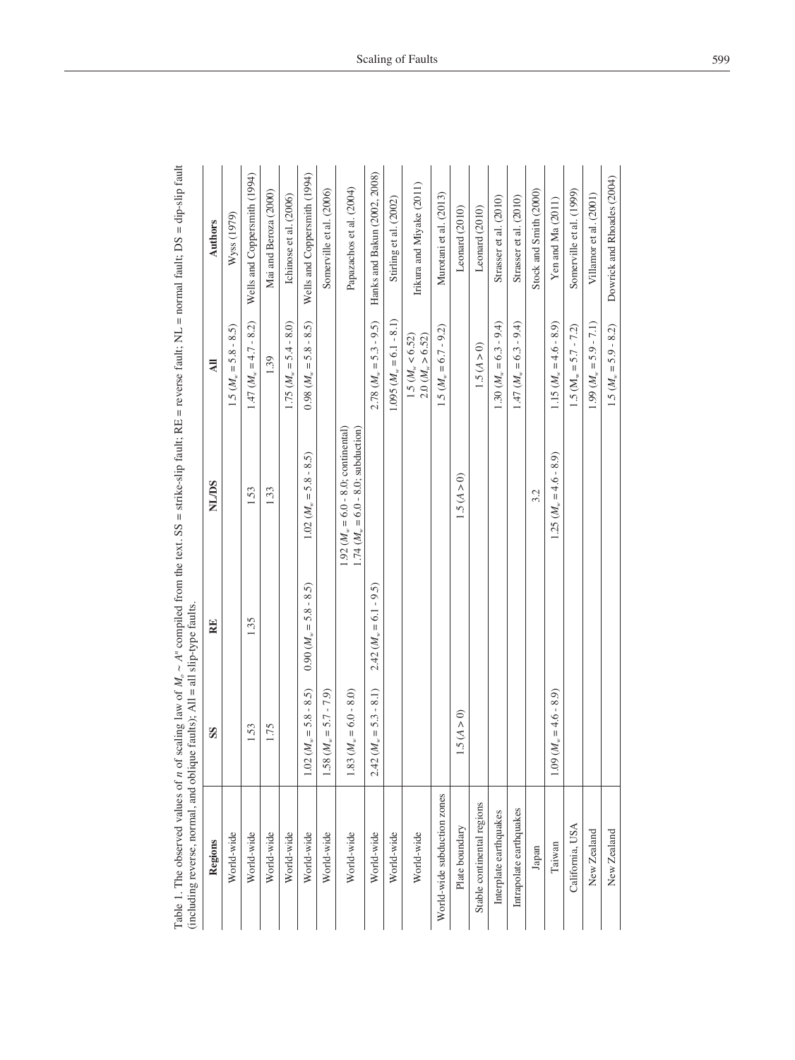Table 1. The observed values of *n* of scaling law of  $M_0 \sim A^n$  compiled from the text. SS = strike-slip fault; RE = reverse fault; NL = normal fault; DS = dip-slip fault Table 1. The observed values of *n* of scaling law of *Mo* ~ *An* compiled from the text. SS = strike-slip fault; RE = reverse fault; NL = normal fault; DS = dip-slip fault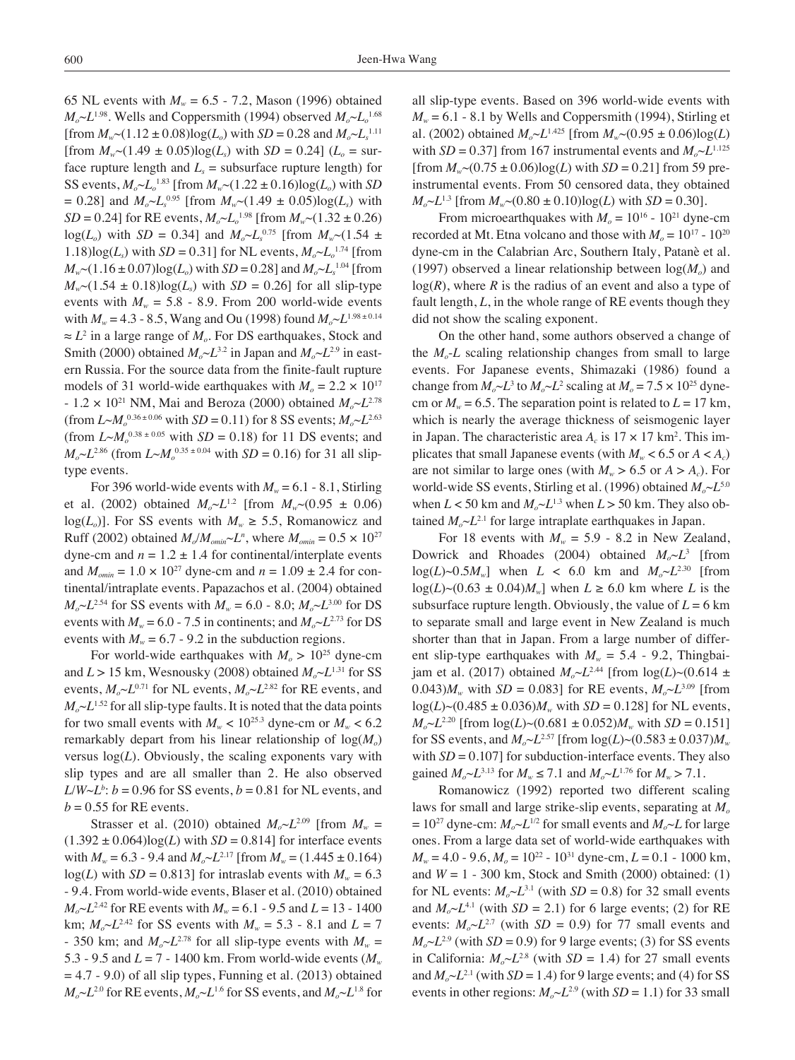65 NL events with  $M_w = 6.5 - 7.2$ , Mason (1996) obtained  $M_o \sim L^{1.98}$ . Wells and Coppersmith (1994) observed  $M_o \sim L_o^{1.68}$ [from  $M_w$  ~ (1.12 ± 0.08)log( $L_o$ ) with *SD* = 0.28 and  $M_o$  ~  $L_s$ <sup>1.11</sup> [from  $M_{w}$  ~ (1.49 ± 0.05) $log(L_s)$  with *SD* = 0.24] ( $L_o$  = surface rupture length and  $L<sub>s</sub>$  = subsurface rupture length) for SS events,  $M_o \sim L_o^{1.83}$  [from  $M_w \sim (1.22 \pm 0.16) \log(L_o)$  with *SD*  $= 0.28$ ] and  $M_o \sim L_s^{0.95}$  [from  $M_w \sim (1.49 \pm 0.05) \log(L_s)$  with *SD* = 0.24] for RE events,  $M_o \sim L_o^{1.98}$  [from  $M_w \sim (1.32 \pm 0.26)$  $log(L_0)$  with *SD* = 0.34] and  $M_0 \sim L_s^{0.75}$  [from  $M_w \sim (1.54 \pm 1.75)$ 1.18)log( $L_s$ ) with *SD* = 0.31] for NL events,  $M_o \sim L_o^{1.74}$  [from  $M_w$  (1.16 ± 0.07)log( $L_o$ ) with *SD* = 0.28] and  $M_o \sim L_s^{1.04}$  [from  $M_{w}$  (1.54  $\pm$  0.18)log( $L_{y}$ ) with *SD* = 0.26] for all slip-type events with  $M_w = 5.8 - 8.9$ . From 200 world-wide events with  $M_w = 4.3 - 8.5$ , Wang and Ou (1998) found  $M_o \sim L^{1.98 \pm 0.14}$ ≈ *L*<sup>2</sup> in a large range of *Mo*. For DS earthquakes, Stock and Smith (2000) obtained  $M_o \sim L^{3.2}$  in Japan and  $M_o \sim L^{2.9}$  in eastern Russia. For the source data from the finite-fault rupture models of 31 world-wide earthquakes with  $M_0 = 2.2 \times 10^{17}$  $- 1.2 \times 10^{21}$  NM, Mai and Beroza (2000) obtained  $M_0 \sim L^{2.78}$  $(\text{from } L \sim M_o^{0.36 \pm 0.06} \text{ with } SD = 0.11) \text{ for } 8 \text{ SS events}; M_o \sim L^{2.63}$ (from  $L \sim M_o^{0.38 \pm 0.05}$  with  $SD = 0.18$ ) for 11 DS events; and  $M_o \sim L^{2.86}$  (from  $L \sim M_o^{0.35 \pm 0.04}$  with *SD* = 0.16) for 31 all sliptype events.

For 396 world-wide events with  $M_w = 6.1 - 8.1$ , Stirling et al. (2002) obtained  $M_{\text{o}}L^{1.2}$  [from  $M_{\text{w}}$  ~ (0.95  $\pm$  0.06)  $log(L_0)$ . For SS events with  $M_w \ge 5.5$ , Romanowicz and Ruff (2002) obtained  $M_o/M_{onin} \sim L^n$ , where  $M_{onin} = 0.5 \times 10^{27}$ dyne-cm and  $n = 1.2 \pm 1.4$  for continental/interplate events and  $M_{\text{omin}} = 1.0 \times 10^{27}$  dyne-cm and  $n = 1.09 \pm 2.4$  for continental/intraplate events. Papazachos et al. (2004) obtained  $M_o \sim L^{2.54}$  for SS events with  $M_w = 6.0 - 8.0$ ;  $M_o \sim L^{3.00}$  for DS events with  $M_w = 6.0 - 7.5$  in continents; and  $M_o \sim L^{2.73}$  for DS events with  $M_w = 6.7 - 9.2$  in the subduction regions.

For world-wide earthquakes with  $M_0 > 10^{25}$  dyne-cm and  $L > 15$  km, Wesnousky (2008) obtained  $M_o \sim L^{1.31}$  for SS events,  $M_o \sim L^{0.71}$  for NL events,  $M_o \sim L^{2.82}$  for RE events, and  $M_o \sim L^{1.52}$  for all slip-type faults. It is noted that the data points for two small events with  $M_w < 10^{25.3}$  dyne-cm or  $M_w < 6.2$ remarkably depart from his linear relationship of  $log(M_0)$ versus  $log(L)$ . Obviously, the scaling exponents vary with slip types and are all smaller than 2. He also observed  $L/W \sim L^b$ :  $b = 0.96$  for SS events,  $b = 0.81$  for NL events, and  $b = 0.55$  for RE events.

Strasser et al. (2010) obtained  $M_o \sim L^{2.09}$  [from  $M_w =$  $(1.392 \pm 0.064) \log(L)$  with  $SD = 0.814$  for interface events with  $M_w = 6.3 - 9.4$  and  $M_o \sim L^{2.17}$  [from  $M_w = (1.445 \pm 0.164)$  $log(L)$  with *SD* = 0.813] for intraslab events with  $M_w = 6.3$ - 9.4. From world-wide events, Blaser et al. (2010) obtained  $M_o \sim L^{2.42}$  for RE events with  $M_w = 6.1 - 9.5$  and  $L = 13 - 1400$ km;  $M_0 \sim L^{2.42}$  for SS events with  $M_w = 5.3 - 8.1$  and  $L = 7$ - 350 km; and  $M_o \sim L^{2.78}$  for all slip-type events with  $M_w =$ 5.3 - 9.5 and  $L = 7 - 1400$  km. From world-wide events  $(M_w)$  $= 4.7 - 9.0$ ) of all slip types, Funning et al. (2013) obtained  $M_o \sim L^{2.0}$  for RE events,  $M_o \sim L^{1.6}$  for SS events, and  $M_o \sim L^{1.8}$  for all slip-type events. Based on 396 world-wide events with  $M_w = 6.1$  - 8.1 by Wells and Coppersmith (1994), Stirling et al. (2002) obtained  $M_o \sim L^{1.425}$  [from  $M_w \sim (0.95 \pm 0.06) \log(L)$ with  $SD = 0.37$  from 167 instrumental events and  $M_o \sim L^{1.125}$  $[$ from  $M_{w}$  ~ (0.75 ± 0.06)log(*L*) with *SD* = 0.21] from 59 preinstrumental events. From 50 censored data, they obtained  $M_{\circ}L^{1.3}$  [from  $M_{w}$  ~ (0.80  $\pm$  0.10)log(*L*) with *SD* = 0.30].

From microearthquakes with  $M<sub>o</sub> = 10<sup>16</sup>$  - 10<sup>21</sup> dyne-cm recorded at Mt. Etna volcano and those with  $M_0 = 10^{17} - 10^{20}$ dyne-cm in the Calabrian Arc, Southern Italy, Patanè et al. (1997) observed a linear relationship between  $log(M_0)$  and  $log(R)$ , where *R* is the radius of an event and also a type of fault length, *L*, in the whole range of RE events though they did not show the scaling exponent.

On the other hand, some authors observed a change of the  $M<sub>o</sub>$ -*L* scaling relationship changes from small to large events. For Japanese events, Shimazaki (1986) found a change from  $M_o \sim L^3$  to  $M_o \sim L^2$  scaling at  $M_o = 7.5 \times 10^{25}$  dynecm or  $M_w = 6.5$ . The separation point is related to  $L = 17$  km, which is nearly the average thickness of seismogenic layer in Japan. The characteristic area  $A_c$  is  $17 \times 17$  km<sup>2</sup>. This implicates that small Japanese events (with  $M_w < 6.5$  or  $A < A_c$ ) are not similar to large ones (with  $M_w > 6.5$  or  $A > A_c$ ). For world-wide SS events, Stirling et al. (1996) obtained *Mo*~*L*5.0 when  $L < 50$  km and  $M_o \sim L^{1.3}$  when  $L > 50$  km. They also obtained  $M_{o} \sim L^{2.1}$  for large intraplate earthquakes in Japan.

For 18 events with  $M_w = 5.9 - 8.2$  in New Zealand, Dowrick and Rhoades (2004) obtained  $M_o \sim L^3$  [from  $log(L) \sim 0.5M_w$ ] when  $L < 6.0$  km and  $M_o \sim L^{2.30}$  [from  $log(L) \sim (0.63 \pm 0.04) M_{w}$  when  $L \ge 6.0$  km where *L* is the subsurface rupture length. Obviously, the value of  $L = 6$  km to separate small and large event in New Zealand is much shorter than that in Japan. From a large number of different slip-type earthquakes with  $M_w = 5.4$  - 9.2, Thingbaijam et al. (2017) obtained  $M_o \sim L^{2.44}$  [from  $log(L) \sim (0.614 \pm 1)$ 0.043) $M_w$  with  $SD = 0.083$  for RE events,  $M_o \sim L^{3.09}$  [from  $log(L) \sim (0.485 \pm 0.036) M_{w}$  with  $SD = 0.128$  for NL events,  $M_{\alpha}$ ~*L*<sup>2.20</sup> [from  $log(L)$ ~(0.681 ± 0.052) $M_{w}$  with *SD* = 0.151] for SS events, and  $M_0 \sim L^{2.57}$  [from  $log(L) \sim (0.583 \pm 0.037) M_w$ with  $SD = 0.107$  for subduction-interface events. They also gained  $M_o \sim L^{3.13}$  for  $M_w \le 7.1$  and  $M_o \sim L^{1.76}$  for  $M_w > 7.1$ .

Romanowicz (1992) reported two different scaling laws for small and large strike-slip events, separating at  $M<sub>o</sub>$  $= 10^{27}$  dyne-cm:  $M_o \sim L^{1/2}$  for small events and  $M_o \sim L$  for large ones. From a large data set of world-wide earthquakes with  $M_w = 4.0 - 9.6$ ,  $M_o = 10^{22} - 10^{31}$  dyne-cm,  $L = 0.1 - 1000$  km, and  $W = 1 - 300$  km, Stock and Smith (2000) obtained: (1) for NL events:  $M_o \sim L^{3.1}$  (with  $SD = 0.8$ ) for 32 small events and  $M_o \sim L^{4.1}$  (with  $SD = 2.1$ ) for 6 large events; (2) for RE events:  $M_0 \sim L^{2.7}$  (with  $SD = 0.9$ ) for 77 small events and  $M<sub>o</sub>~L<sup>2.9</sup>$  (with *SD* = 0.9) for 9 large events; (3) for *SS* events in California:  $M_o \sim L^{2.8}$  (with *SD* = 1.4) for 27 small events and  $M_{o}$ ~ $L^{2.1}$  (with *SD* = 1.4) for 9 large events; and (4) for SS events in other regions:  $M_o \sim L^{2.9}$  (with *SD* = 1.1) for 33 small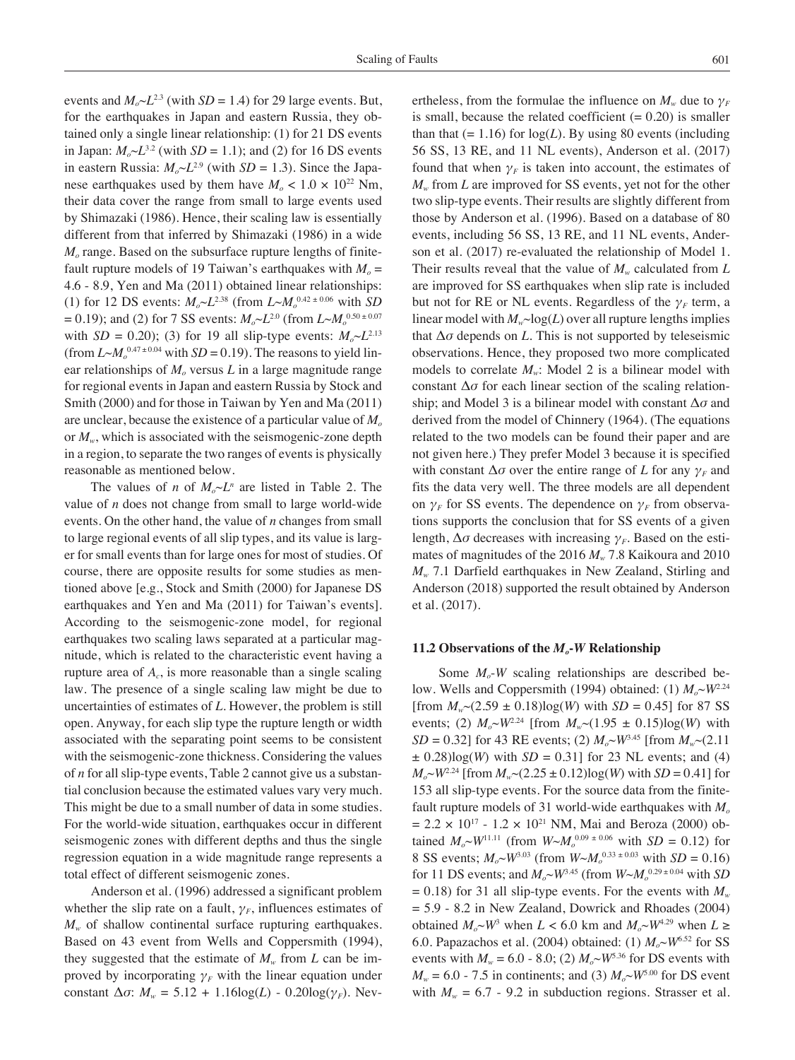events and  $M_0 \sim L^{2.3}$  (with *SD* = 1.4) for 29 large events. But, for the earthquakes in Japan and eastern Russia, they obtained only a single linear relationship: (1) for 21 DS events in Japan:  $M_o \sim L^{3.2}$  (with *SD* = 1.1); and (2) for 16 DS events in eastern Russia:  $M_{\alpha} \sim L^{2.9}$  (with  $SD = 1.3$ ). Since the Japanese earthquakes used by them have  $M<sub>o</sub> < 1.0 \times 10^{22}$  Nm, their data cover the range from small to large events used by Shimazaki (1986). Hence, their scaling law is essentially different from that inferred by Shimazaki (1986) in a wide *M<sub>o</sub>* range. Based on the subsurface rupture lengths of finitefault rupture models of 19 Taiwan's earthquakes with  $M_0 =$ 4.6 - 8.9, Yen and Ma (2011) obtained linear relationships: (1) for 12 DS events:  $M_o \sim L^{2.38}$  (from  $L \sim M_o^{0.42 \pm 0.06}$  with *SD*  $= 0.19$ ); and (2) for 7 SS events:  $M_o \sim L^{2.0}$  (from  $L \sim M_o^{0.50 \pm 0.07}$ with *SD* = 0.20); (3) for 19 all slip-type events:  $M_0 \sim L^{2.13}$ (from  $L \sim M_o^{0.47 \pm 0.04}$  with  $SD = 0.19$ ). The reasons to yield linear relationships of  $M<sub>o</sub>$  versus  $L$  in a large magnitude range for regional events in Japan and eastern Russia by Stock and Smith (2000) and for those in Taiwan by Yen and Ma (2011) are unclear, because the existence of a particular value of *Mo* or  $M_w$ , which is associated with the seismogenic-zone depth in a region, to separate the two ranges of events is physically reasonable as mentioned below.

The values of *n* of  $M_0 \sim L^n$  are listed in Table 2. The value of *n* does not change from small to large world-wide events. On the other hand, the value of *n* changes from small to large regional events of all slip types, and its value is larger for small events than for large ones for most of studies. Of course, there are opposite results for some studies as mentioned above [e.g., Stock and Smith (2000) for Japanese DS earthquakes and Yen and Ma (2011) for Taiwan's events]. According to the seismogenic-zone model, for regional earthquakes two scaling laws separated at a particular magnitude, which is related to the characteristic event having a rupture area of  $A_c$ , is more reasonable than a single scaling law. The presence of a single scaling law might be due to uncertainties of estimates of *L*. However, the problem is still open. Anyway, for each slip type the rupture length or width associated with the separating point seems to be consistent with the seismogenic-zone thickness. Considering the values of *n* for all slip-type events, Table 2 cannot give us a substantial conclusion because the estimated values vary very much. This might be due to a small number of data in some studies. For the world-wide situation, earthquakes occur in different seismogenic zones with different depths and thus the single regression equation in a wide magnitude range represents a total effect of different seismogenic zones.

Anderson et al. (1996) addressed a significant problem whether the slip rate on a fault,  $\gamma_F$ , influences estimates of *M<sub>w</sub>* of shallow continental surface rupturing earthquakes. Based on 43 event from Wells and Coppersmith (1994), they suggested that the estimate of  $M_w$  from *L* can be improved by incorporating  $\gamma_F$  with the linear equation under constant  $\Delta \sigma$ :  $M_w = 5.12 + 1.16 \log(L) - 0.20 \log(\gamma_F)$ . Nevertheless, from the formulae the influence on  $M_w$  due to  $\gamma_F$ is small, because the related coefficient  $(= 0.20)$  is smaller than that  $(= 1.16)$  for  $log(L)$ . By using 80 events (including 56 SS, 13 RE, and 11 NL events), Anderson et al. (2017) found that when  $\gamma_F$  is taken into account, the estimates of *Mw* from *L* are improved for SS events, yet not for the other two slip-type events. Their results are slightly different from those by Anderson et al. (1996). Based on a database of 80 events, including 56 SS, 13 RE, and 11 NL events, Anderson et al. (2017) re-evaluated the relationship of Model 1. Their results reveal that the value of  $M_w$  calculated from  $L$ are improved for SS earthquakes when slip rate is included but not for RE or NL events. Regardless of the *γF* term, a linear model with  $M_w \sim log(L)$  over all rupture lengths implies that  $\Delta \sigma$  depends on *L*. This is not supported by teleseismic observations. Hence, they proposed two more complicated models to correlate  $M_w$ : Model 2 is a bilinear model with constant Δ*σ* for each linear section of the scaling relationship; and Model 3 is a bilinear model with constant Δ*σ* and derived from the model of Chinnery (1964). (The equations related to the two models can be found their paper and are not given here.) They prefer Model 3 because it is specified with constant  $\Delta \sigma$  over the entire range of *L* for any  $\gamma_F$  and fits the data very well. The three models are all dependent on  $\gamma_F$  for SS events. The dependence on  $\gamma_F$  from observations supports the conclusion that for SS events of a given length, Δ*σ* decreases with increasing *γF*. Based on the estimates of magnitudes of the 2016  $M_{w}$  7.8 Kaikoura and 2010 *Mw* 7.1 Darfield earthquakes in New Zealand, Stirling and Anderson (2018) supported the result obtained by Anderson et al. (2017).

#### **11.2 Observations of the** *Mo***-***W* **Relationship**

Some  $M<sub>o</sub>$ -*W* scaling relationships are described below. Wells and Coppersmith (1994) obtained: (1)  $M_o \sim W^{2.24}$ [from  $M_{w}$  ~ (2.59 ± 0.18)log(*W*) with *SD* = 0.45] for 87 SS events; (2)  $M_0 \sim W^{2.24}$  [from  $M_w \sim (1.95 \pm 0.15) \log(W)$  with *SD* = 0.32] for 43 RE events; (2)  $M_{o} \sim W^{3.45}$  [from  $M_{w} \sim (2.11$  $\pm$  0.28)log(*W*) with *SD* = 0.31] for 23 NL events; and (4)  $M_{\circ}$   $\sim$  *W*<sup>2.24</sup> [from  $M_{\circ}$   $\sim$  (2.25  $\pm$  0.12)log(*W*) with *SD* = 0.41] for 153 all slip-type events. For the source data from the finitefault rupture models of 31 world-wide earthquakes with  $M<sub>o</sub>$  $= 2.2 \times 10^{17} - 1.2 \times 10^{21}$  NM, Mai and Beroza (2000) obtained  $M_o \sim W^{11.11}$  (from  $W \sim M_o^{0.09 \pm 0.06}$  with  $SD = 0.12$ ) for 8 SS events;  $M_o \sim W^{3.03}$  (from  $W \sim M_o^{0.33 \pm 0.03}$  with  $SD = 0.16$ ) for 11 DS events; and  $M_o \sim W^{3.45}$  (from  $W \sim M_o^{0.29 \pm 0.04}$  with *SD*  $= 0.18$ ) for 31 all slip-type events. For the events with  $M_w$  $= 5.9 - 8.2$  in New Zealand, Dowrick and Rhoades (2004) obtained  $M_o \sim W^3$  when  $L < 6.0$  km and  $M_o \sim W^{4.29}$  when  $L \ge$ 6.0. Papazachos et al. (2004) obtained: (1)  $M_o \sim W^{6.52}$  for SS events with  $M_w = 6.0 - 8.0$ ; (2)  $M_o \sim W^{5.36}$  for DS events with  $M_w = 6.0$  - 7.5 in continents; and (3)  $M_o \sim W^{5.00}$  for DS event with  $M_w = 6.7 - 9.2$  in subduction regions. Strasser et al.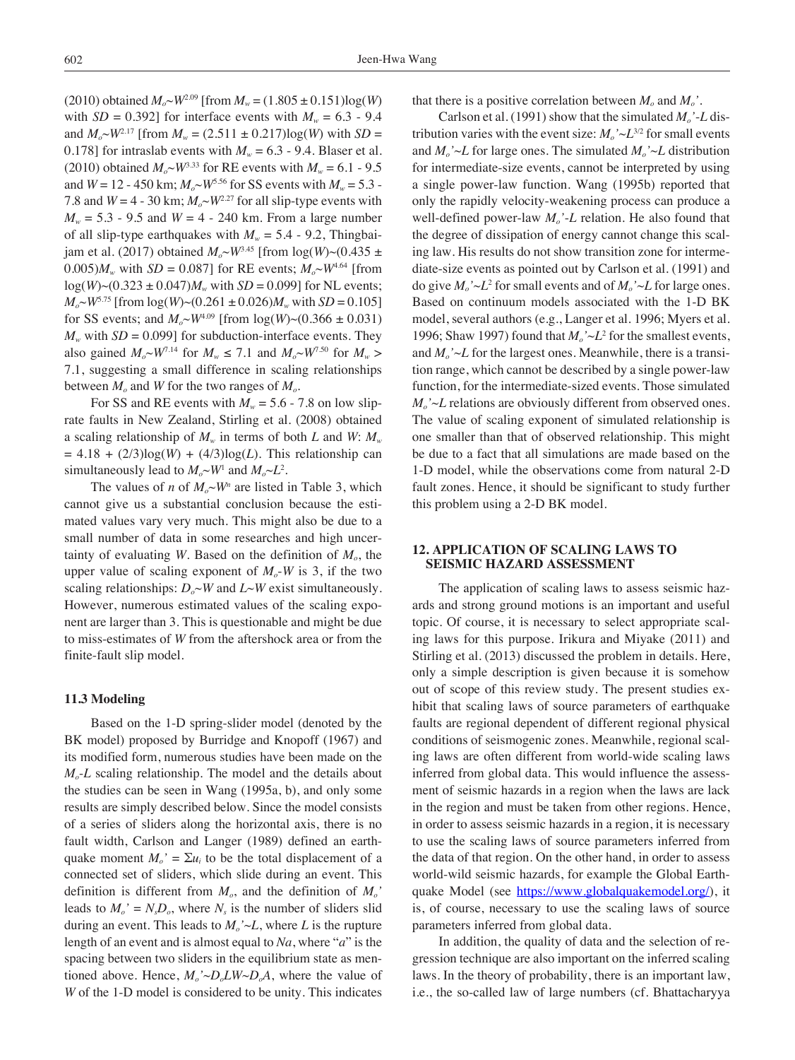$(2010)$  obtained  $M_o \sim W^{2.09}$  [from  $M_w = (1.805 \pm 0.151) \log(W)$ with  $SD = 0.392$  for interface events with  $M_w = 6.3 - 9.4$ and  $M_o \sim W^{2.17}$  [from  $M_w = (2.511 \pm 0.217) \log(W)$  with  $SD =$ 0.178] for intraslab events with  $M_w = 6.3$  - 9.4. Blaser et al. (2010) obtained  $M_{0} \sim W^{3.33}$  for RE events with  $M_{w} = 6.1 - 9.5$ and  $W = 12 - 450$  km;  $M_o \sim W^{5.56}$  for SS events with  $M_w = 5.3$ 7.8 and  $W = 4 - 30$  km;  $M_{o} \sim W^{2.27}$  for all slip-type events with  $M_w = 5.3 - 9.5$  and  $W = 4 - 240$  km. From a large number of all slip-type earthquakes with  $M_w = 5.4$  - 9.2, Thingbaijam et al. (2017) obtained  $M_{\alpha}$ ~*W*<sup>3.45</sup> [from log(*W*)~(0.435 ± 0.005) $M_w$  with *SD* = 0.087] for RE events;  $M_o \sim W^{4.64}$  [from  $log(W)~(0.323 \pm 0.047)M_{w}$  with  $SD = 0.099$ ] for NL events;  $M_o \sim W^{5.75}$  [from  $log(W) \sim (0.261 \pm 0.026) M_w$  with *SD* = 0.105] for SS events; and  $M_o \sim W^{4.09}$  [from  $log(W) \sim (0.366 \pm 0.031)$  $M_w$  with *SD* = 0.099] for subduction-interface events. They also gained  $M_o \sim W^{7.14}$  for  $M_w \le 7.1$  and  $M_o \sim W^{7.50}$  for  $M_w >$ 7.1, suggesting a small difference in scaling relationships between  $M_0$  and W for the two ranges of  $M_0$ .

For SS and RE events with  $M_w = 5.6$  - 7.8 on low sliprate faults in New Zealand, Stirling et al. (2008) obtained a scaling relationship of  $M_w$  in terms of both *L* and *W*:  $M_w$  $= 4.18 + (2/3)log(W) + (4/3)log(L)$ . This relationship can simultaneously lead to  $M_o \sim W^1$  and  $M_o \sim L^2$ .

The values of *n* of  $M_o \sim W^n$  are listed in Table 3, which cannot give us a substantial conclusion because the estimated values vary very much. This might also be due to a small number of data in some researches and high uncertainty of evaluating  $W$ . Based on the definition of  $M<sub>o</sub>$ , the upper value of scaling exponent of  $M<sub>o</sub>$ -*W* is 3, if the two scaling relationships:  $D_0 \sim W$  and  $L \sim W$  exist simultaneously. However, numerous estimated values of the scaling exponent are larger than 3. This is questionable and might be due to miss-estimates of *W* from the aftershock area or from the finite-fault slip model.

#### **11.3 Modeling**

Based on the 1-D spring-slider model (denoted by the BK model) proposed by Burridge and Knopoff (1967) and its modified form, numerous studies have been made on the *M<sub>o</sub>*-*L* scaling relationship. The model and the details about the studies can be seen in Wang (1995a, b), and only some results are simply described below. Since the model consists of a series of sliders along the horizontal axis, there is no fault width, Carlson and Langer (1989) defined an earthquake moment  $M_o' = \sum u_i$  to be the total displacement of a connected set of sliders, which slide during an event. This definition is different from  $M<sub>o</sub>$ , and the definition of  $M<sub>o</sub>$ <sup>'</sup> leads to  $M_o' = N_s D_o$ , where  $N_s$  is the number of sliders slid during an event. This leads to  $M_o' \sim L$ , where *L* is the rupture length of an event and is almost equal to *Na*, where "*a*" is the spacing between two sliders in the equilibrium state as mentioned above. Hence,  $M_o' \sim D_o L W \sim D_o A$ , where the value of *W* of the 1-D model is considered to be unity. This indicates

that there is a positive correlation between  $M_0$  and  $M_0$ .

Carlson et al. (1991) show that the simulated  $M_o$ '-*L* distribution varies with the event size:  $M_o' \sim L^{3/2}$  for small events and  $M_o' \sim L$  for large ones. The simulated  $M_o' \sim L$  distribution for intermediate-size events, cannot be interpreted by using a single power-law function. Wang (1995b) reported that only the rapidly velocity-weakening process can produce a well-defined power-law  $M_0$ '-L relation. He also found that the degree of dissipation of energy cannot change this scaling law. His results do not show transition zone for intermediate-size events as pointed out by Carlson et al. (1991) and do give  $M_o' \sim L^2$  for small events and of  $M_o' \sim L$  for large ones. Based on continuum models associated with the 1-D BK model, several authors (e.g., Langer et al. 1996; Myers et al. 1996; Shaw 1997) found that  $M_o' \sim L^2$  for the smallest events, and  $M_o' \sim L$  for the largest ones. Meanwhile, there is a transition range, which cannot be described by a single power-law function, for the intermediate-sized events. Those simulated  $M_o' \sim L$  relations are obviously different from observed ones. The value of scaling exponent of simulated relationship is one smaller than that of observed relationship. This might be due to a fact that all simulations are made based on the 1-D model, while the observations come from natural 2-D fault zones. Hence, it should be significant to study further this problem using a 2-D BK model.

# **12. Application of Scaling Laws to Seismic Hazard Assessment**

The application of scaling laws to assess seismic hazards and strong ground motions is an important and useful topic. Of course, it is necessary to select appropriate scaling laws for this purpose. Irikura and Miyake (2011) and Stirling et al. (2013) discussed the problem in details. Here, only a simple description is given because it is somehow out of scope of this review study. The present studies exhibit that scaling laws of source parameters of earthquake faults are regional dependent of different regional physical conditions of seismogenic zones. Meanwhile, regional scaling laws are often different from world-wide scaling laws inferred from global data. This would influence the assessment of seismic hazards in a region when the laws are lack in the region and must be taken from other regions. Hence, in order to assess seismic hazards in a region, it is necessary to use the scaling laws of source parameters inferred from the data of that region. On the other hand, in order to assess world-wild seismic hazards, for example the Global Earthquake Model (see [https://www.globalquakemodel.org/\)](https://www.globalquakemodel.org/), it is, of course, necessary to use the scaling laws of source parameters inferred from global data.

In addition, the quality of data and the selection of regression technique are also important on the inferred scaling laws. In the theory of probability, there is an important law, i.e., the so-called law of large numbers (cf. Bhattacharyya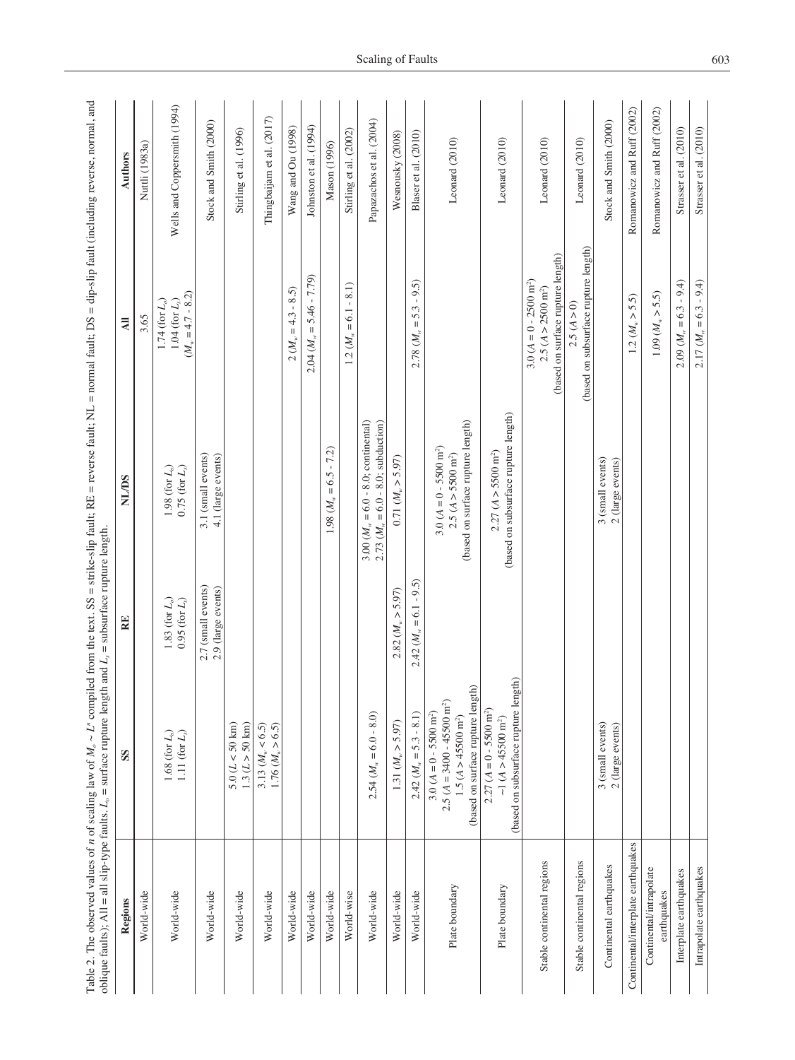| Regions                                | SS                                                                                                                                                 | RE                                             | <b>SU/TN</b>                                                                                          | $\overline{AB}$                                                                              | Authors                      |
|----------------------------------------|----------------------------------------------------------------------------------------------------------------------------------------------------|------------------------------------------------|-------------------------------------------------------------------------------------------------------|----------------------------------------------------------------------------------------------|------------------------------|
| World-wide                             |                                                                                                                                                    |                                                |                                                                                                       | 3.65                                                                                         | Nuttli (1983a)               |
| World-wide                             | 1.68 (for $L_o$ )<br>1.11 (for $L_{s}$ )                                                                                                           | 1.83 (for $L_o$ )<br>$0.95$ (for $L_{\odot}$ ) | $1.98$ (for $L_{\rm o})$<br>$0.75$ (for $L_{\rm s}$ )                                                 | $(M_w = 4.7 - 8.2)$<br>$1.04$ (for $L_{\rm s})$<br>$1.74$ (for $L_{\rm o}$                   | Wells and Coppersmith (1994) |
| World-wide                             |                                                                                                                                                    | 2.7 (small events)<br>2.9 (large events)       | 3.1 (small events)<br>4.1 (large events)                                                              |                                                                                              | Stock and Smith (2000)       |
| World-wide                             | 1.3 (L > 50 km)<br>$5.0 (L < 50$ km)                                                                                                               |                                                |                                                                                                       |                                                                                              | Stirling et al. (1996)       |
| World-wide                             | $3.13\ (M_{\rm w} < 6.5)$<br>$1.76 (M_{\nu} > 6.5)$                                                                                                |                                                |                                                                                                       |                                                                                              | Thingbaijam et al. (2017)    |
| World-wide                             |                                                                                                                                                    |                                                |                                                                                                       | $-8.5$<br>$= 4.3$<br>$2 (M_w)$                                                               | Wang and Ou (1998)           |
| World-wide                             |                                                                                                                                                    |                                                |                                                                                                       | $5.46 - 7.79$<br>$\vert\vert$<br>$2.04~ (M_{\rm w}$                                          | Johnston et al. (1994)       |
| World-wide                             |                                                                                                                                                    |                                                | $-7.2$<br>$= 6.5$<br>$1.98\ (M_{\rm w}$                                                               |                                                                                              | Mason (1996)                 |
| World-wise                             |                                                                                                                                                    |                                                |                                                                                                       | $-8.1$<br>$\overline{61}$<br>$1.2~(M_{w} =$                                                  | Stirling et al. (2002)       |
| World-wide                             | $2.54 (M_w = 6.0 - 8.0)$                                                                                                                           |                                                | 3.00 $(Mw = 6.0 - 8.0;$ continental)<br>2.73 ( $M_{w} = 6.0 - 8.0$ ; subduction)                      |                                                                                              | Papazachos et al. (2004)     |
| World-wide                             | 1.31 (M <sub>w</sub> > 5.97)                                                                                                                       | $2.82$ $(Mw > 5.97)$                           | $0.71~(M_{\nu} > 5.97)$                                                                               |                                                                                              | Wesnousky (2008)             |
| World-wide                             | $2.42 (Mw = 5.3 - 8.1)$                                                                                                                            | $2.42 (Mw = 6.1 - 9.5)$                        |                                                                                                       | $= 5.3 - 9.5$<br>2.78 (M <sub>w</sub>                                                        | Blaser et al. (2010)         |
| Plate boundary                         | (based on surface rupture length)<br>$2.5 (A = 3400 - 45500$ m <sup>2</sup> )<br>$3.0 (A = 0 - 5500 \text{ m}^2)$<br>$1.5 (A > 45500 \text{ m}^2)$ |                                                | (based on surface rupture length)<br>$3.0 (A = 0 - 5500 \text{ m}^2)$<br>$2.5 (A > 5500 \text{ m}^2)$ |                                                                                              | Leonard (2010)               |
| Plate boundary                         | (based on subsurface rupture length)<br>$2.27 (A = 0 - 5500$ m <sup>2</sup> )<br>~1 $(A > 45500 \text{ m}^2)$                                      |                                                | (based on subsurface rupture length)<br>2.27 (A > 5500 m <sup>2</sup> )                               |                                                                                              | Leonard (2010)               |
| Stable continental regions             |                                                                                                                                                    |                                                |                                                                                                       | (based on surface rupture length)<br>$3.0 (A = 0 - 2500 m2)$<br>$2.5 (A > 2500 \text{ m}^2)$ | Leonard (2010)               |
| Stable continental regions             |                                                                                                                                                    |                                                |                                                                                                       | (based on subsurface rupture length)<br>2.5(A > 0)                                           | Leonard (2010)               |
| Continental earthquakes                | 3 (small events)<br>2 (large events)                                                                                                               |                                                | 3 (small events)<br>2 (large events)                                                                  |                                                                                              | Stock and Smith (2000)       |
| Continental/interplate earthquakes     |                                                                                                                                                    |                                                |                                                                                                       | 5.5)<br>$1.2~(M_{w} >$                                                                       | Romanowicz and Ruff (2002)   |
| Continental/intrapolate<br>earthquakes |                                                                                                                                                    |                                                |                                                                                                       | 1.09 (M <sub>w</sub> > 5.5)                                                                  | Romanowicz and Ruff (2002)   |
| Interplate earthquakes                 |                                                                                                                                                    |                                                |                                                                                                       | $2.09 (M_w = 6.3 - 9.4)$                                                                     | Strasser et al. (2010)       |
| Intrapolate earthquakes                |                                                                                                                                                    |                                                |                                                                                                       | $2.17 (M_w = 6.3 - 9.4)$                                                                     | Strasser et al. (2010)       |
|                                        |                                                                                                                                                    |                                                |                                                                                                       |                                                                                              |                              |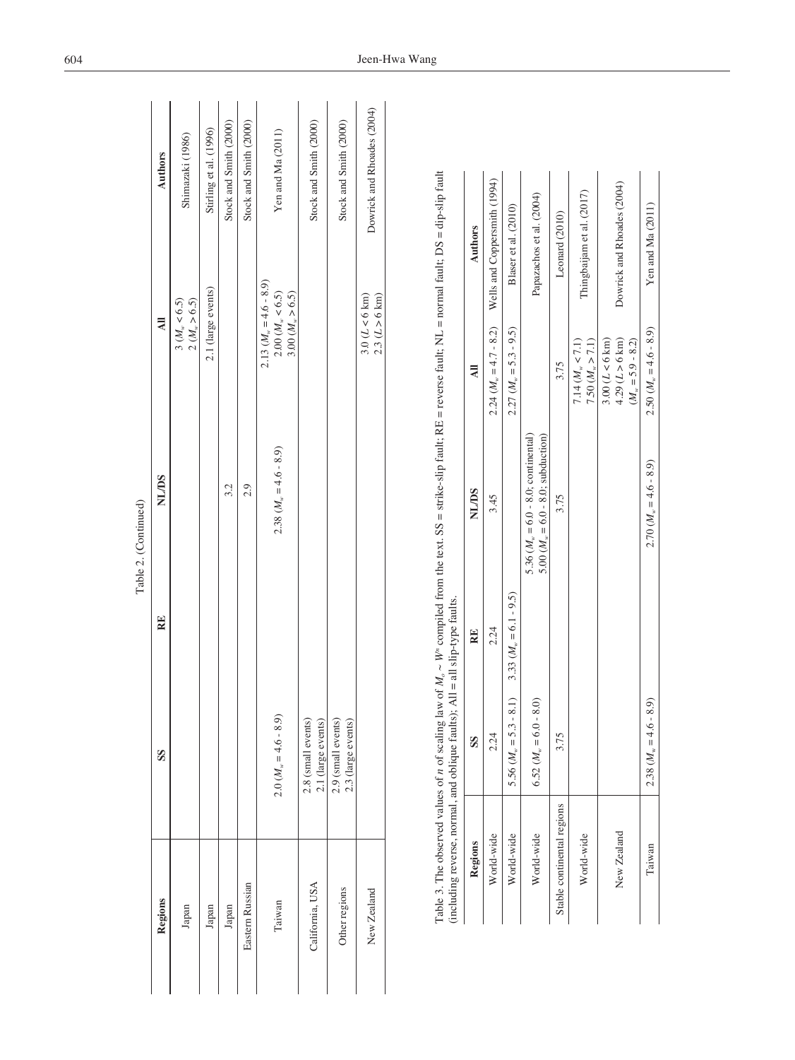|                 |                                                                                                                                                                                      |    | Table 2. (Continued)      |                                                                            |                            |
|-----------------|--------------------------------------------------------------------------------------------------------------------------------------------------------------------------------------|----|---------------------------|----------------------------------------------------------------------------|----------------------------|
| Regions         | SS                                                                                                                                                                                   | RE | <b>SU/IN</b>              | $\overline{a}$                                                             | <b>Authors</b>             |
| Japan           |                                                                                                                                                                                      |    |                           | $3 (M_w < 6.5)$<br>2 (M <sub>w</sub> > 6.5)                                | Shimazaki (1986)           |
| Japan           |                                                                                                                                                                                      |    |                           | 2.1 (large events)                                                         | Stirling et al. (1996)     |
| Japan           |                                                                                                                                                                                      |    | 3.2                       |                                                                            | Stock and Smith (2000)     |
| Eastern Russian |                                                                                                                                                                                      |    | 2.9                       |                                                                            | Stock and Smith (2000)     |
| Taiwan          | $2.0 (M_w = 4.6 - 8.9)$                                                                                                                                                              |    | $2.38(M_{\rm w}=4.6-8.9)$ | $2.13 (M_w = 4.6 - 8.9)$<br>$2.00~(M_\ast<6.5)$<br>$3.00~(M_\ast\!>\!6.5)$ | Yen and Ma (2011)          |
| California, USA | 2.8 (small events)<br>2.1 (large events)                                                                                                                                             |    |                           |                                                                            | Stock and Smith (2000)     |
| Other regions   | 2.9 (small events)<br>2.3 (large events)                                                                                                                                             |    |                           |                                                                            | Stock and Smith (2000)     |
| New Zealand     |                                                                                                                                                                                      |    |                           | $3.0 (L < 6 \text{ km})$<br>$2.3 (L > 6 \text{ km})$                       | Dowrick and Rhoades (2004) |
|                 | Table 3. The observed values of <i>n</i> of scaling law of $M_a \sim W^a$ compiled from the text. SS = strike-slip fault; RE = reverse fault; NL = normal fault; DS = dip-slip fault |    |                           |                                                                            |                            |
|                 |                                                                                                                                                                                      |    |                           |                                                                            |                            |

| $\overline{\phantom{a}}$<br>l<br>l                                                      |                                                                                                                              |
|-----------------------------------------------------------------------------------------|------------------------------------------------------------------------------------------------------------------------------|
| I<br>ļ<br>l<br>ļ<br>l<br>l<br>l<br>ļ                                                    |                                                                                                                              |
| l<br>I                                                                                  |                                                                                                                              |
| l<br>ı<br>l<br>$\frac{1}{2}$<br>Ì<br>İ<br>֠<br>ĺ<br>l<br>١<br>$\mathbf \zeta$<br>ś<br>Ó | ¢<br>l<br>l<br>į<br>١<br>l<br>֕<br>١<br>l<br>ţ<br>Í<br>č<br>Comments C<br>ļ<br>$\sim$<br>i<br>i<br>ļ<br>Ì<br>I<br><br>:<br>i |

| (including reverse, normal, and oblique raulis); $A\mu = \mu$ is sup-type raulis. |                                  |                                            |                                                                                             |                                                                    |                                                                  |
|-----------------------------------------------------------------------------------|----------------------------------|--------------------------------------------|---------------------------------------------------------------------------------------------|--------------------------------------------------------------------|------------------------------------------------------------------|
| Regions                                                                           | SS                               | RE                                         | <b>NL/DS</b>                                                                                | $\overline{a}$                                                     | <b>Authors</b>                                                   |
| World-wide                                                                        | 2.24                             | 2.24                                       | 3.45                                                                                        |                                                                    | 2.24 ( $M_{\text{w}} = 4.7 - 8.2$ ) Wells and Coppersmith (1994) |
| World-wide                                                                        | 5.56 (                           | $M_w = 5.3 - 8.1$ 3.33 $(M_w = 6.1 - 9.5)$ |                                                                                             | $2.27 (M_w = 5.3 - 9.5)$                                           | Blaser et al. (2010)                                             |
| World-wide                                                                        | $6.52 (Mw = 6.0 - 8.0)$          |                                            | 5.36 $(M_{\nu} = 6.0 - 8.0)$ ; continental)<br>5.00 $(M_{\rm w} = 6.0 - 8.0)$ ; subduction) |                                                                    | Papazachos et al. (2004)                                         |
| Stable continental regions                                                        | 3.75                             |                                            | 3.75                                                                                        | 3.75                                                               | Leonard (2010)                                                   |
| World-wide                                                                        |                                  |                                            |                                                                                             | 7.50 (M <sub>w</sub> > 7.1)<br>$7.14 (M_{\rm w} < 7.1)$            | Thingbaijam et al. (2017)                                        |
| New Zealand                                                                       |                                  |                                            |                                                                                             | $3.00 (L < 6 \text{ km})$<br>4.29 (L > 6 km)<br>$(Mw = 5.9 - 8.2)$ | Dowrick and Rhoades (2004)                                       |
| Taiwan                                                                            | $M_{\rm w} = 4.6 - 8.9$<br>2.38( |                                            | $2.70$ $(Mn = 4.6 - 8.9)$                                                                   | $2.50$ $(Mn = 4.6 - 8.9)$                                          | Yen and Ma (2011)                                                |
|                                                                                   |                                  |                                            |                                                                                             |                                                                    |                                                                  |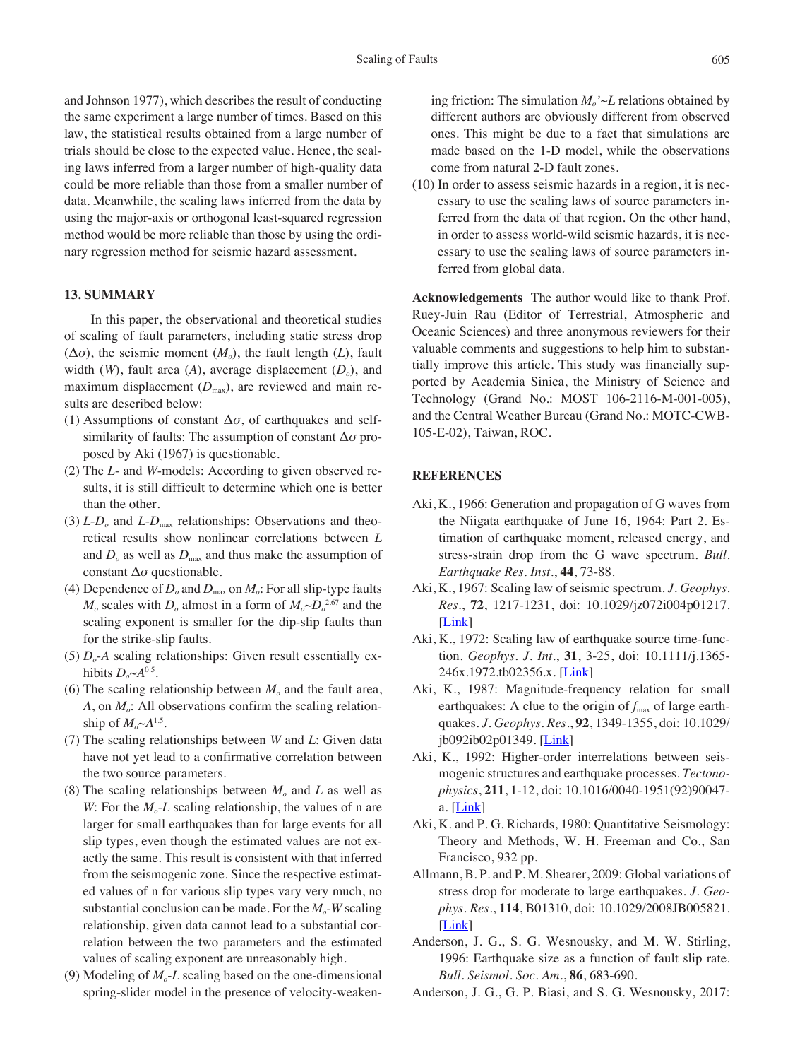and Johnson 1977), which describes the result of conducting the same experiment a large number of times. Based on this law, the statistical results obtained from a large number of trials should be close to the expected value. Hence, the scaling laws inferred from a larger number of high-quality data could be more reliable than those from a smaller number of data. Meanwhile, the scaling laws inferred from the data by using the major-axis or orthogonal least-squared regression method would be more reliable than those by using the ordinary regression method for seismic hazard assessment.

# **13. Summary**

In this paper, the observational and theoretical studies of scaling of fault parameters, including static stress drop  $(\Delta \sigma)$ , the seismic moment  $(M_o)$ , the fault length  $(L)$ , fault width  $(W)$ , fault area  $(A)$ , average displacement  $(D_0)$ , and maximum displacement  $(D_{\text{max}})$ , are reviewed and main results are described below:

- (1) Assumptions of constant  $\Delta \sigma$ , of earthquakes and selfsimilarity of faults: The assumption of constant Δ*σ* proposed by Aki (1967) is questionable.
- (2) The *L* and *W*-models: According to given observed results, it is still difficult to determine which one is better than the other.
- (3)  $L$ - $D<sub>o</sub>$  and  $L$ - $D<sub>max</sub>$  relationships: Observations and theoretical results show nonlinear correlations between *L* and  $D<sub>o</sub>$  as well as  $D<sub>max</sub>$  and thus make the assumption of constant Δ*σ* questionable.
- (4) Dependence of  $D<sub>o</sub>$  and  $D<sub>max</sub>$  on  $M<sub>o</sub>$ : For all slip-type faults  $M_o$  scales with  $D_o$  almost in a form of  $M_o \sim D_o^{2.67}$  and the scaling exponent is smaller for the dip-slip faults than for the strike-slip faults.
- (5)  $D<sub>o</sub>$ -A scaling relationships: Given result essentially exhibits  $D_{\alpha} \sim A^{0.5}$ .
- (6) The scaling relationship between  $M<sub>o</sub>$  and the fault area,  $A$ , on  $M<sub>o</sub>$ : All observations confirm the scaling relationship of  $M_o \sim A^{1.5}$ .
- (7) The scaling relationships between *W* and *L*: Given data have not yet lead to a confirmative correlation between the two source parameters.
- (8) The scaling relationships between  $M_0$  and L as well as *W*: For the  $M_{o}$ -*L* scaling relationship, the values of n are larger for small earthquakes than for large events for all slip types, even though the estimated values are not exactly the same. This result is consistent with that inferred from the seismogenic zone. Since the respective estimated values of n for various slip types vary very much, no substantial conclusion can be made. For the  $M<sub>o</sub>$ -*W* scaling relationship, given data cannot lead to a substantial correlation between the two parameters and the estimated values of scaling exponent are unreasonably high.
- (9) Modeling of  $M<sub>o</sub>$ -*L* scaling based on the one-dimensional spring-slider model in the presence of velocity-weaken-

ing friction: The simulation  $M_o' \sim L$  relations obtained by different authors are obviously different from observed ones. This might be due to a fact that simulations are made based on the 1-D model, while the observations come from natural 2-D fault zones.

(10) In order to assess seismic hazards in a region, it is necessary to use the scaling laws of source parameters inferred from the data of that region. On the other hand, in order to assess world-wild seismic hazards, it is necessary to use the scaling laws of source parameters inferred from global data.

**Acknowledgements** The author would like to thank Prof. Ruey-Juin Rau (Editor of Terrestrial, Atmospheric and Oceanic Sciences) and three anonymous reviewers for their valuable comments and suggestions to help him to substantially improve this article. This study was financially supported by Academia Sinica, the Ministry of Science and Technology (Grand No.: MOST 106-2116-M-001-005), and the Central Weather Bureau (Grand No.: MOTC-CWB-105-E-02), Taiwan, ROC.

# **References**

- Aki, K., 1966: Generation and propagation of G waves from the Niigata earthquake of June 16, 1964: Part 2. Estimation of earthquake moment, released energy, and stress-strain drop from the G wave spectrum. *Bull. Earthquake Res. Inst.*, **44**, 73-88.
- Aki, K., 1967: Scaling law of seismic spectrum. *J. Geophys. Res.*, **72**, 1217-1231, doi: 10.1029/jz072i004p01217. [\[Link](http://dx.doi.org/10.1029/jz072i004p01217)]
- Aki, K., 1972: Scaling law of earthquake source time-function. *Geophys. J. Int.*, **31**, 3-25, doi: 10.1111/j.1365- 246x.1972.tb02356.x. [\[Link](http://dx.doi.org/10.1111/j.1365-246x.1972.tb02356.x)]
- Aki, K., 1987: Magnitude-frequency relation for small earthquakes: A clue to the origin of  $f_{\text{max}}$  of large earthquakes. *J. Geophys. Res.*, **92**, 1349-1355, doi: 10.1029/  $\frac{1}{10092}$ ib02p01349. [[Link\]](http://dx.doi.org/10.1029/jb092ib02p01349)
- Aki, K., 1992: Higher-order interrelations between seismogenic structures and earthquake processes. *Tectonophysics*, **211**, 1-12, doi: 10.1016/0040-1951(92)90047 a.  $[Link]$  $[Link]$  $[Link]$
- Aki, K. and P. G. Richards, 1980: Quantitative Seismology: Theory and Methods, W. H. Freeman and Co., San Francisco, 932 pp.
- Allmann, B. P. and P. M. Shearer, 2009: Global variations of stress drop for moderate to large earthquakes. *J. Geophys. Res.*, **114**, B01310, doi: 10.1029/2008JB005821. [\[Link](http://dx.doi.org/10.1029/2008JB005821)]
- Anderson, J. G., S. G. Wesnousky, and M. W. Stirling, 1996: Earthquake size as a function of fault slip rate. *Bull. Seismol. Soc. Am.*, **86**, 683-690.
- Anderson, J. G., G. P. Biasi, and S. G. Wesnousky, 2017: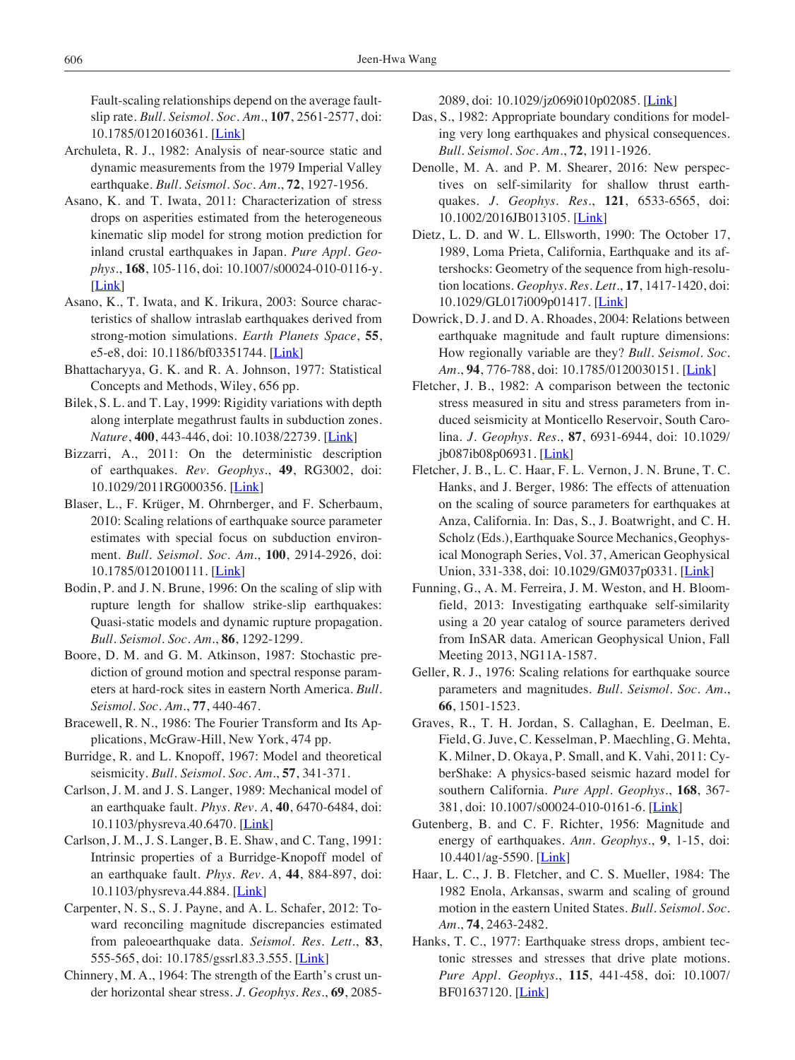Fault-scaling relationships depend on the average faultslip rate. *Bull. Seismol. Soc. Am.*, **107**, 2561-2577, doi: 10.1785/0120160361. [[Link\]](http://dx.doi.org/10.1785/0120160361)

- Archuleta, R. J., 1982: Analysis of near-source static and dynamic measurements from the 1979 Imperial Valley earthquake. *Bull. Seismol. Soc. Am.*, **72**, 1927-1956.
- Asano, K. and T. Iwata, 2011: Characterization of stress drops on asperities estimated from the heterogeneous kinematic slip model for strong motion prediction for inland crustal earthquakes in Japan. *Pure Appl. Geophys.*, **168**, 105-116, doi: 10.1007/s00024-010-0116-y. [\[Link](http://dx.doi.org/10.1007/s00024-010-0116-y)]
- Asano, K., T. Iwata, and K. Irikura, 2003: Source characteristics of shallow intraslab earthquakes derived from strong-motion simulations. *Earth Planets Space*, **55**, e5-e8, doi: 10.1186/bf03351744. [\[Link](http://dx.doi.org/10.1186/bf03351744)]
- Bhattacharyya, G. K. and R. A. Johnson, 1977: Statistical Concepts and Methods, Wiley, 656 pp.
- Bilek, S. L. and T. Lay, 1999: Rigidity variations with depth along interplate megathrust faults in subduction zones. *Nature*, **400**, 443-446, doi: 10.1038/22739. [[Link\]](http://dx.doi.org/10.1038/22739)
- Bizzarri, A., 2011: On the deterministic description of earthquakes. *Rev. Geophys.*, **49**, RG3002, doi: 10.1029/2011RG000356. [[Link](http://dx.doi.org/10.1029/2011RG000356)]
- Blaser, L., F. Krüger, M. Ohrnberger, and F. Scherbaum, 2010: Scaling relations of earthquake source parameter estimates with special focus on subduction environment. *Bull. Seismol. Soc. Am.*, **100**, 2914-2926, doi: 10.1785/0120100111. [[Link\]](http://dx.doi.org/10.1785/0120100111)
- Bodin, P. and J. N. Brune, 1996: On the scaling of slip with rupture length for shallow strike-slip earthquakes: Quasi-static models and dynamic rupture propagation. *Bull. Seismol. Soc. Am.*, **86**, 1292-1299.
- Boore, D. M. and G. M. Atkinson, 1987: Stochastic prediction of ground motion and spectral response parameters at hard-rock sites in eastern North America. *Bull. Seismol. Soc. Am.*, **77**, 440-467.
- Bracewell, R. N., 1986: The Fourier Transform and Its Applications, McGraw-Hill, New York, 474 pp.
- Burridge, R. and L. Knopoff, 1967: Model and theoretical seismicity. *Bull. Seismol. Soc. Am.*, **57**, 341-371.
- Carlson, J. M. and J. S. Langer, 1989: Mechanical model of an earthquake fault. *Phys. Rev. A*, **40**, 6470-6484, doi: 10.1103/physreva.40.6470. [[Link\]](http://dx.doi.org/10.1103/physreva.40.6470)
- Carlson, J. M., J. S. Langer, B. E. Shaw, and C. Tang, 1991: Intrinsic properties of a Burridge-Knopoff model of an earthquake fault. *Phys. Rev. A*, **44**, 884-897, doi: 10.1103/physreva.44.884. [[Link\]](http://dx.doi.org/10.1103/physreva.44.884)
- Carpenter, N. S., S. J. Payne, and A. L. Schafer, 2012: Toward reconciling magnitude discrepancies estimated from paleoearthquake data. *Seismol. Res. Lett.*, **83**, 555-565, doi: 10.1785/gssrl.83.3.555. [\[Link](http://dx.doi.org/10.1785/gssrl.83.3.555)]
- Chinnery, M. A., 1964: The strength of the Earth's crust under horizontal shear stress. *J. Geophys. Res.*, **69**, 2085-

2089, doi: 10.1029/jz069i010p02085. [\[Link](http://dx.doi.org/10.1029/jz069i010p02085)]

- Das, S., 1982: Appropriate boundary conditions for modeling very long earthquakes and physical consequences. *Bull. Seismol. Soc. Am.*, **72**, 1911-1926.
- Denolle, M. A. and P. M. Shearer, 2016: New perspectives on self-similarity for shallow thrust earthquakes. *J. Geophys. Res.*, **121**, 6533-6565, doi: 10.1002/2016JB013105. [[Link\]](http://dx.doi.org/10.1002/2016JB013105)
- Dietz, L. D. and W. L. Ellsworth, 1990: The October 17, 1989, Loma Prieta, California, Earthquake and its aftershocks: Geometry of the sequence from high-resolution locations. *Geophys. Res. Lett.*, **17**, 1417-1420, doi: 10.1029/GL017i009p01417. [[Link](http://dx.doi.org/10.1029/GL017i009p01417)]
- Dowrick, D. J. and D. A. Rhoades, 2004: Relations between earthquake magnitude and fault rupture dimensions: How regionally variable are they? *Bull. Seismol. Soc. Am.*, **94**, 776-788, doi: 10.1785/0120030151. [[Link\]](http://dx.doi.org/10.1785/0120030151)
- Fletcher, J. B., 1982: A comparison between the tectonic stress measured in situ and stress parameters from induced seismicity at Monticello Reservoir, South Carolina. *J. Geophys. Res.*, **87**, 6931-6944, doi: 10.1029/ jb087ib08p06931. [[Link\]](http://dx.doi.org/10.1029/jb087ib08p06931)
- Fletcher, J. B., L. C. Haar, F. L. Vernon, J. N. Brune, T. C. Hanks, and J. Berger, 1986: The effects of attenuation on the scaling of source parameters for earthquakes at Anza, California. In: Das, S., J. Boatwright, and C. H. Scholz (Eds.), Earthquake Source Mechanics, Geophysical Monograph Series, Vol. 37, American Geophysical Union, 331-338, doi: 10.1029/GM037p0331. [\[Link\]](http://dx.doi.org/10.1029/GM037p0331)
- Funning, G., A. M. Ferreira, J. M. Weston, and H. Bloomfield, 2013: Investigating earthquake self-similarity using a 20 year catalog of source parameters derived from InSAR data. American Geophysical Union, Fall Meeting 2013, NG11A-1587.
- Geller, R. J., 1976: Scaling relations for earthquake source parameters and magnitudes. *Bull. Seismol. Soc. Am.*, **66**, 1501-1523.
- Graves, R., T. H. Jordan, S. Callaghan, E. Deelman, E. Field, G. Juve, C. Kesselman, P. Maechling, G. Mehta, K. Milner, D. Okaya, P. Small, and K. Vahi, 2011: CyberShake: A physics-based seismic hazard model for southern California. *Pure Appl. Geophys.*, **168**, 367- 381, doi: 10.1007/s00024-010-0161-6. [\[Link](http://dx.doi.org/10.1007/s00024-010-0161-6)]
- Gutenberg, B. and C. F. Richter, 1956: Magnitude and energy of earthquakes. *Ann. Geophys.*, **9**, 1-15, doi:  $10.4401/ag-5590.$  [*Link*]
- Haar, L. C., J. B. Fletcher, and C. S. Mueller, 1984: The 1982 Enola, Arkansas, swarm and scaling of ground motion in the eastern United States. *Bull. Seismol. Soc. Am.*, **74**, 2463-2482.
- Hanks, T. C., 1977: Earthquake stress drops, ambient tectonic stresses and stresses that drive plate motions. *Pure Appl. Geophys.*, **115**, 441-458, doi: 10.1007/ BF01637120. [\[Link](http://dx.doi.org/10.1007/BF01637120)]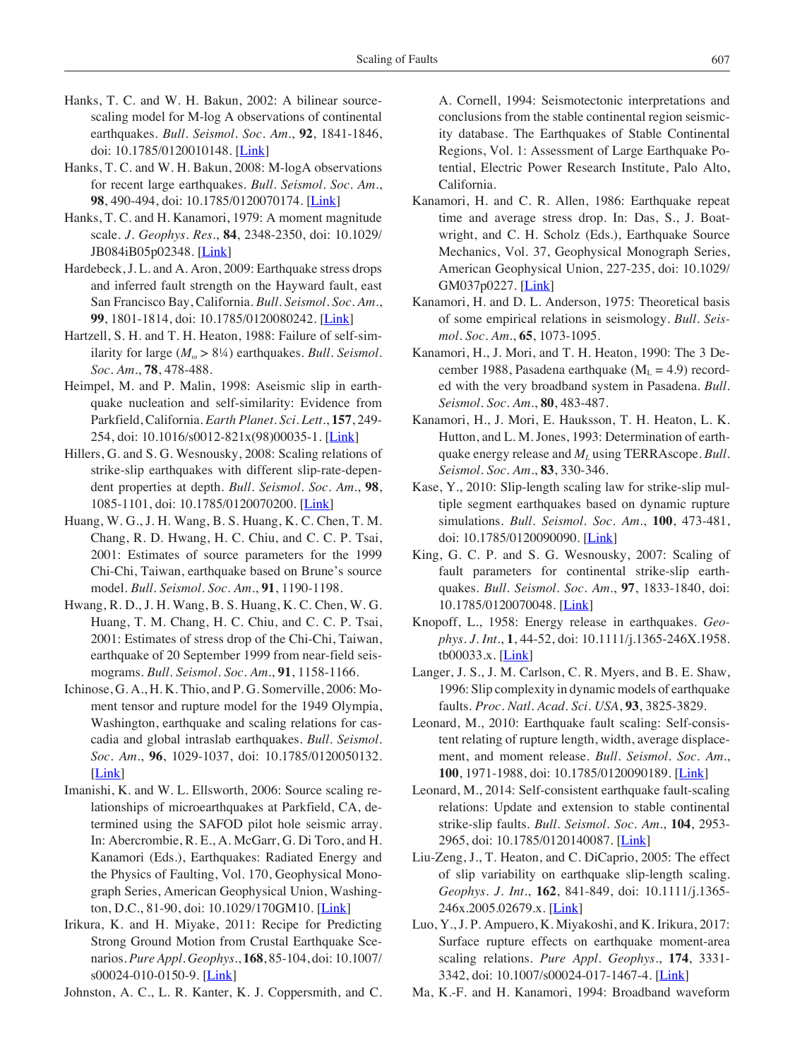- Hanks, T. C. and W. H. Bakun, 2002: A bilinear sourcescaling model for M-log A observations of continental earthquakes. *Bull. Seismol. Soc. Am.*, **92**, 1841-1846, doi: 10.1785/0120010148. [[Link\]](http://dx.doi.org/10.1785/0120010148)
- Hanks, T. C. and W. H. Bakun, 2008: M-logA observations for recent large earthquakes. *Bull. Seismol. Soc. Am.*, **98**, 490-494, doi: 10.1785/0120070174. [\[Link\]](http://dx.doi.org/10.1785/0120070174)
- Hanks, T. C. and H. Kanamori, 1979: A moment magnitude scale. *J. Geophys. Res.*, **84**, 2348-2350, doi: 10.1029/ JB084iB05p02348. [\[Link](http://dx.doi.org/10.1029/JB084iB05p02348)]
- Hardebeck, J. L. and A. Aron, 2009: Earthquake stress drops and inferred fault strength on the Hayward fault, east San Francisco Bay, California. *Bull. Seismol. Soc. Am.*, **99**, 1801-1814, doi: 10.1785/0120080242. [\[Link\]](http://dx.doi.org/10.1785/0120080242)
- Hartzell, S. H. and T. H. Heaton, 1988: Failure of self-similarity for large (*Mω* > 8¼) earthquakes. *Bull. Seismol. Soc. Am.*, **78**, 478-488.
- Heimpel, M. and P. Malin, 1998: Aseismic slip in earthquake nucleation and self-similarity: Evidence from Parkfield, California. *Earth Planet. Sci. Lett.*, **157**, 249- 254, doi: 10.1016/s0012-821x(98)00035-1. [[Link\]](http://dx.doi.org/10.1016/s0012-821x(98)00035-)
- Hillers, G. and S. G. Wesnousky, 2008: Scaling relations of strike-slip earthquakes with different slip-rate-dependent properties at depth. *Bull. Seismol. Soc. Am.*, **98**, 1085-1101, doi: 10.1785/0120070200. [\[Link\]](http://dx.doi.org/10.1785/0120070200)
- Huang, W. G., J. H. Wang, B. S. Huang, K. C. Chen, T. M. Chang, R. D. Hwang, H. C. Chiu, and C. C. P. Tsai, 2001: Estimates of source parameters for the 1999 Chi-Chi, Taiwan, earthquake based on Brune's source model. *Bull. Seismol. Soc. Am.*, **91**, 1190-1198.
- Hwang, R. D., J. H. Wang, B. S. Huang, K. C. Chen, W. G. Huang, T. M. Chang, H. C. Chiu, and C. C. P. Tsai, 2001: Estimates of stress drop of the Chi-Chi, Taiwan, earthquake of 20 September 1999 from near-field seismograms. *Bull. Seismol. Soc. Am.*, **91**, 1158-1166.
- Ichinose, G. A., H. K. Thio, and P. G. Somerville, 2006: Moment tensor and rupture model for the 1949 Olympia, Washington, earthquake and scaling relations for cascadia and global intraslab earthquakes. *Bull. Seismol. Soc. Am.*, **96**, 1029-1037, doi: 10.1785/0120050132. [\[Link](http://dx.doi.org/10.1785/0120050132)]
- Imanishi, K. and W. L. Ellsworth, 2006: Source scaling relationships of microearthquakes at Parkfield, CA, determined using the SAFOD pilot hole seismic array. In: Abercrombie, R. E., A. McGarr, G. Di Toro, and H. Kanamori (Eds.), Earthquakes: Radiated Energy and the Physics of Faulting, Vol. 170, Geophysical Monograph Series, American Geophysical Union, Washing-ton, D.C., 81-90, doi: 10.1029/170GM10. [[Link\]](http://dx.doi.org/10.1029/170GM10)
- Irikura, K. and H. Miyake, 2011: Recipe for Predicting Strong Ground Motion from Crustal Earthquake Scenarios. *Pure Appl. Geophys.*, **168**, 85-104, doi: 10.1007/ s00024-010-0150-9. [\[Link](http://dx.doi.org/10.1007/s00024-010-0150-9)]
- Johnston, A. C., L. R. Kanter, K. J. Coppersmith, and C.

A. Cornell, 1994: Seismotectonic interpretations and conclusions from the stable continental region seismicity database. The Earthquakes of Stable Continental Regions, Vol. 1: Assessment of Large Earthquake Potential, Electric Power Research Institute, Palo Alto, California.

- Kanamori, H. and C. R. Allen, 1986: Earthquake repeat time and average stress drop. In: Das, S., J. Boatwright, and C. H. Scholz (Eds.), Earthquake Source Mechanics, Vol. 37, Geophysical Monograph Series, American Geophysical Union, 227-235, doi: 10.1029/ GM037p0227. [*Link*]
- Kanamori, H. and D. L. Anderson, 1975: Theoretical basis of some empirical relations in seismology. *Bull. Seismol. Soc. Am.*, **65**, 1073-1095.
- Kanamori, H., J. Mori, and T. H. Heaton, 1990: The 3 December 1988, Pasadena earthquake ( $M<sub>L</sub> = 4.9$ ) recorded with the very broadband system in Pasadena. *Bull. Seismol. Soc. Am.*, **80**, 483-487.
- Kanamori, H., J. Mori, E. Hauksson, T. H. Heaton, L. K. Hutton, and L. M. Jones, 1993: Determination of earthquake energy release and  $M_l$  using TERRAscope. *Bull*. *Seismol. Soc. Am.*, **83**, 330-346.
- Kase, Y., 2010: Slip-length scaling law for strike-slip multiple segment earthquakes based on dynamic rupture simulations. *Bull. Seismol. Soc. Am.*, **100**, 473-481, doi: 10.1785/0120090090. [\[Link](http://dx.doi.org/10.1785/0120090090)]
- King, G. C. P. and S. G. Wesnousky, 2007: Scaling of fault parameters for continental strike-slip earthquakes. *Bull. Seismol. Soc. Am.*, **97**, 1833-1840, doi: 10.1785/0120070048. [\[Link](http://dx.doi.org/10.1785/0120070048)]
- Knopoff, L., 1958: Energy release in earthquakes. *Geophys. J. Int.*, **1**, 44-52, doi: 10.1111/j.1365-246X.1958. tb00033.x. [\[Link](http://dx.doi.org/10.1111/j.1365-246X.1958.tb00033.x)]
- Langer, J. S., J. M. Carlson, C. R. Myers, and B. E. Shaw, 1996: Slip complexity in dynamic models of earthquake faults. *Proc. Natl. Acad. Sci. USA*, **93**, 3825-3829.
- Leonard, M., 2010: Earthquake fault scaling: Self-consistent relating of rupture length, width, average displacement, and moment release. *Bull. Seismol. Soc. Am.*, **100**, 1971-1988, doi: 10.1785/0120090189. [[Link\]](http://dx.doi.org/10.1785/0120090189)
- Leonard, M., 2014: Self-consistent earthquake fault-scaling relations: Update and extension to stable continental strike-slip faults. *Bull. Seismol. Soc. Am.*, **104**, 2953- 2965, doi: 10.1785/0120140087. [\[Link](http://dx.doi.org/10.1785/0120140087)]
- Liu-Zeng, J., T. Heaton, and C. DiCaprio, 2005: The effect of slip variability on earthquake slip-length scaling. *Geophys. J. Int.*, **162**, 841-849, doi: 10.1111/j.1365- 246x.2005.02679.x. [*Link*]
- Luo, Y., J. P. Ampuero, K. Miyakoshi, and K. Irikura, 2017: Surface rupture effects on earthquake moment-area scaling relations. *Pure Appl. Geophys.*, **174**, 3331- 3342, doi: 10.1007/s00024-017-1467-4. [\[Link](http://dx.doi.org/10.1007/s00024-017-1467-4)]
- Ma, K.-F. and H. Kanamori, 1994: Broadband waveform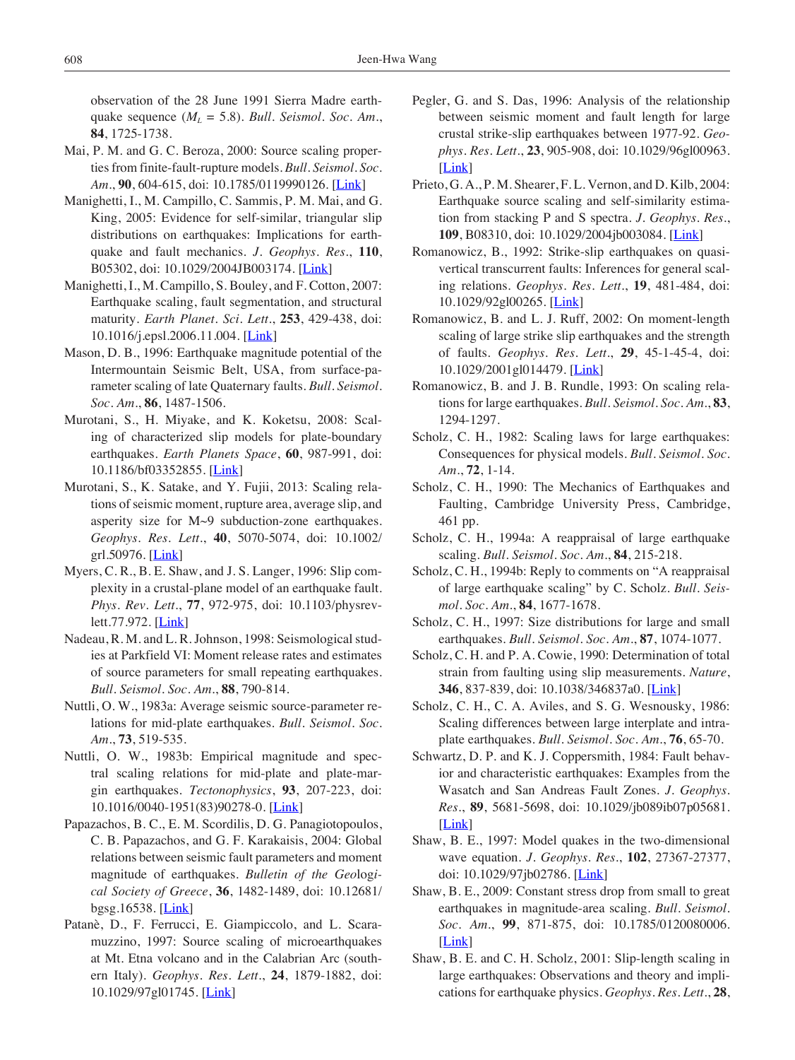observation of the 28 June 1991 Sierra Madre earthquake sequence  $(M_L = 5.8)$ . *Bull. Seismol. Soc. Am.*, **84**, 1725-1738.

- Mai, P. M. and G. C. Beroza, 2000: Source scaling properties from finite-fault-rupture models. *Bull. Seismol. Soc. Am.*, **90**, 604-615, doi: 10.1785/0119990126. [\[Link\]](http://dx.doi.org/10.1785/0119990126)
- Manighetti, I., M. Campillo, C. Sammis, P. M. Mai, and G. King, 2005: Evidence for self-similar, triangular slip distributions on earthquakes: Implications for earthquake and fault mechanics. *J. Geophys. Res.*, **110**, B05302, doi: 10.1029/2004JB003174. [[Link\]](http://dx.doi.org/10.1029/2004JB003174)
- Manighetti, I., M. Campillo, S. Bouley, and F. Cotton, 2007: Earthquake scaling, fault segmentation, and structural maturity. *Earth Planet. Sci. Lett.*, **253**, 429-438, doi: 10.1016/j.epsl.2006.11.004. [[Link](http://dx.doi.org/10.1016/j.epsl.2006.11.004)]
- Mason, D. B., 1996: Earthquake magnitude potential of the Intermountain Seismic Belt, USA, from surface-parameter scaling of late Quaternary faults. *Bull. Seismol. Soc. Am.*, **86**, 1487-1506.
- Murotani, S., H. Miyake, and K. Koketsu, 2008: Scaling of characterized slip models for plate-boundary earthquakes. *Earth Planets Space*, **60**, 987-991, doi: 10.1186/bf03352855. [[Link\]](http://dx.doi.org/10.1186/bf03352855)
- Murotani, S., K. Satake, and Y. Fujii, 2013: Scaling relations of seismic moment, rupture area, average slip, and asperity size for M~9 subduction-zone earthquakes. *Geophys. Res. Lett.*, **40**, 5070-5074, doi: 10.1002/ grl.50976. [[Link\]](http://dx.doi.org/10.1002/grl.50976)
- Myers, C. R., B. E. Shaw, and J. S. Langer, 1996: Slip complexity in a crustal-plane model of an earthquake fault. *Phys. Rev. Lett.*, **77**, 972-975, doi: 10.1103/physrev-lett.77.972. [\[Link](http://dx.doi.org/10.1103/physrevlett.77.972)]
- Nadeau, R. M. and L. R. Johnson, 1998: Seismological studies at Parkfield VI: Moment release rates and estimates of source parameters for small repeating earthquakes. *Bull. Seismol. Soc. Am.*, **88**, 790-814.
- Nuttli, O. W., 1983a: Average seismic source-parameter relations for mid-plate earthquakes. *Bull. Seismol. Soc. Am.*, **73**, 519-535.
- Nuttli, O. W., 1983b: Empirical magnitude and spectral scaling relations for mid-plate and plate-margin earthquakes. *Tectonophysics*, **93**, 207-223, doi: 10.1016/0040-1951(83)90278-0. [[Link\]](http://dx.doi.org/10.1016/0040-1951(83)90278-0)
- Papazachos, B. C., E. M. Scordilis, D. G. Panagiotopoulos, C. B. Papazachos, and G. F. Karakaisis, 2004: Global relations between seismic fault parameters and moment magnitude of earthquakes. *Bulletin of the Geo*log*ical Society of Greece*, **36**, 1482-1489, doi: 10.12681/ bgsg.16538. [[Link\]](http://dx.doi.org/10.12681/bgsg.16538)
- Patanè, D., F. Ferrucci, E. Giampiccolo, and L. Scaramuzzino, 1997: Source scaling of microearthquakes at Mt. Etna volcano and in the Calabrian Arc (southern Italy). *Geophys. Res. Lett.*, **24**, 1879-1882, doi: 10.1029/97gl01745. [\[Link](http://dx.doi.org/10.1029/97gl01745)]
- Pegler, G. and S. Das, 1996: Analysis of the relationship between seismic moment and fault length for large crustal strike-slip earthquakes between 1977-92. *Geophys. Res. Lett.*, **23**, 905-908, doi: 10.1029/96gl00963. [\[Link](http://dx.doi.org/10.1029/96gl00963)]
- Prieto, G. A., P. M. Shearer, F. L. Vernon, and D. Kilb, 2004: Earthquake source scaling and self-similarity estimation from stacking P and S spectra. *J. Geophys. Res.*, **109**, B08310, doi: 10.1029/2004jb003084. [[Link\]](http://dx.doi.org/10.1029/2004jb003084)
- Romanowicz, B., 1992: Strike-slip earthquakes on quasivertical transcurrent faults: Inferences for general scaling relations. *Geophys. Res. Lett.*, **19**, 481-484, doi: 10.1029/92gl00265. [\[Link](http://dx.doi.org/10.1029/92gl00265)]
- Romanowicz, B. and L. J. Ruff, 2002: On moment-length scaling of large strike slip earthquakes and the strength of faults. *Geophys. Res. Lett.*, **29**, 45-1-45-4, doi: 10.1029/2001gl014479. [\[Link](http://dx.doi.org/10.1029/2001gl014479)]
- Romanowicz, B. and J. B. Rundle, 1993: On scaling relations for large earthquakes. *Bull. Seismol. Soc. Am.*, **83**, 1294-1297.
- Scholz, C. H., 1982: Scaling laws for large earthquakes: Consequences for physical models. *Bull. Seismol. Soc. Am.*, **72**, 1-14.
- Scholz, C. H., 1990: The Mechanics of Earthquakes and Faulting, Cambridge University Press, Cambridge, 461 pp.
- Scholz, C. H., 1994a: A reappraisal of large earthquake scaling. *Bull. Seismol. Soc. Am.*, **84**, 215-218.
- Scholz, C. H., 1994b: Reply to comments on "A reappraisal of large earthquake scaling" by C. Scholz. *Bull. Seismol. Soc. Am.*, **84**, 1677-1678.
- Scholz, C. H., 1997: Size distributions for large and small earthquakes. *Bull. Seismol. Soc. Am.*, **87**, 1074-1077.
- Scholz, C. H. and P. A. Cowie, 1990: Determination of total strain from faulting using slip measurements. *Nature*, **346**, 837-839, doi: 10.1038/346837a0. [\[Link](http://dx.doi.org/10.1038/346837a0)]
- Scholz, C. H., C. A. Aviles, and S. G. Wesnousky, 1986: Scaling differences between large interplate and intraplate earthquakes. *Bull. Seismol. Soc. Am.*, **76**, 65-70.
- Schwartz, D. P. and K. J. Coppersmith, 1984: Fault behavior and characteristic earthquakes: Examples from the Wasatch and San Andreas Fault Zones. *J. Geophys. Res.*, **89**, 5681-5698, doi: 10.1029/jb089ib07p05681. [\[Link](http://dx.doi.org/10.1029/jb089ib07p05681)]
- Shaw, B. E., 1997: Model quakes in the two-dimensional wave equation. *J. Geophys. Res.*, **102**, 27367-27377, doi: 10.1029/97jb02786. [\[Link](http://dx.doi.org/10.1029/97jb02786)]
- Shaw, B. E., 2009: Constant stress drop from small to great earthquakes in magnitude-area scaling. *Bull. Seismol. Soc. Am.*, **99**, 871-875, doi: 10.1785/0120080006. [\[Link](http://dx.doi.org/10.1785/0120080006)]
- Shaw, B. E. and C. H. Scholz, 2001: Slip-length scaling in large earthquakes: Observations and theory and implications for earthquake physics. *Geophys. Res. Lett.*, **28**,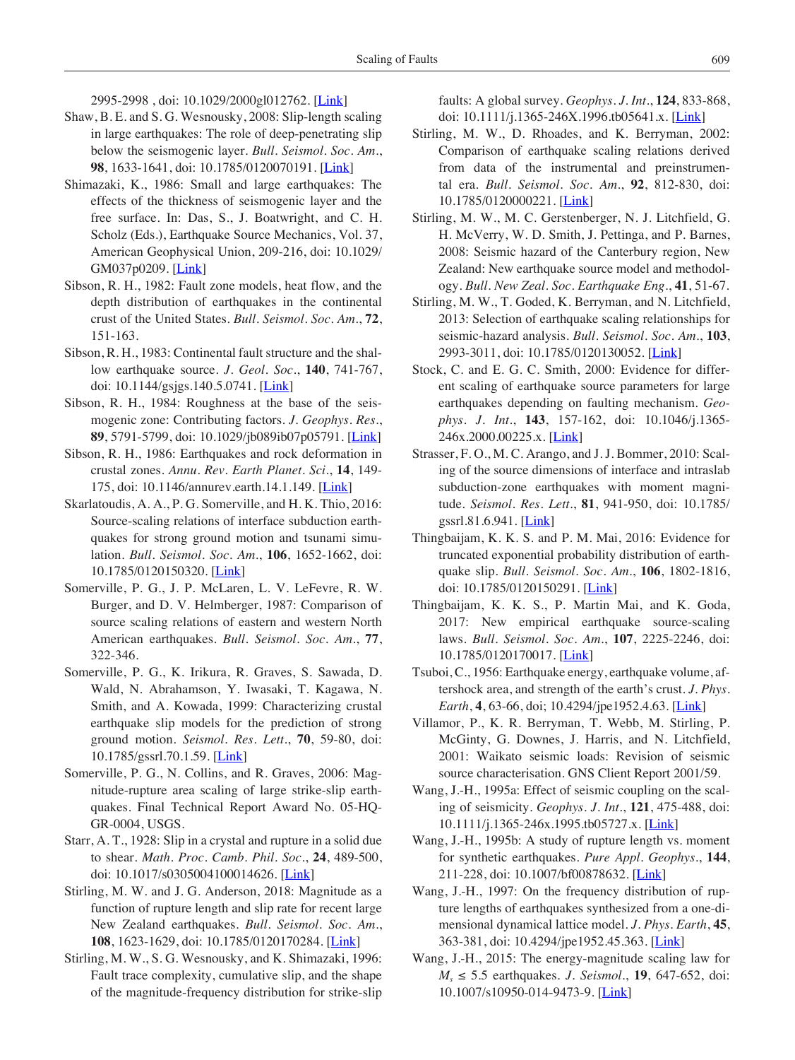2995-2998 , doi: 10.1029/2000gl012762. [\[Link](file:///TAO/Publication/Vol.%2029/29%236/01-TAO-D-18-00060(T)(Review)/ttp:/dx.doi.org/10.1029/2000gl012762)]

- Shaw, B. E. and S. G. Wesnousky, 2008: Slip-length scaling in large earthquakes: The role of deep-penetrating slip below the seismogenic layer. *Bull. Seismol. Soc. Am.*, **98**, 1633-1641, doi: 10.1785/0120070191. [\[Link\]](http://dx.doi.org/10.1785/0120070191)
- Shimazaki, K., 1986: Small and large earthquakes: The effects of the thickness of seismogenic layer and the free surface. In: Das, S., J. Boatwright, and C. H. Scholz (Eds.), Earthquake Source Mechanics, Vol. 37, American Geophysical Union, 209-216, doi: 10.1029/ GM037p0209. [\[Link](http://dx.doi.org/10.1029/GM037p0209)]
- Sibson, R. H., 1982: Fault zone models, heat flow, and the depth distribution of earthquakes in the continental crust of the United States. *Bull. Seismol. Soc. Am.*, **72**, 151-163.
- Sibson, R. H., 1983: Continental fault structure and the shallow earthquake source. *J. Geol. Soc.*, **140**, 741-767, doi: 10.1144/gsjgs.140.5.0741. [[Link\]](http://dx.doi.org/10.1144/gsjgs.140.5.0741)
- Sibson, R. H., 1984: Roughness at the base of the seismogenic zone: Contributing factors. *J. Geophys. Res.*, **89**, 5791-5799, doi: 10.1029/jb089ib07p05791. [[Link](http://dx.doi.org/10.1029/jb089ib07p05791)]
- Sibson, R. H., 1986: Earthquakes and rock deformation in crustal zones. *Annu. Rev. Earth Planet. Sci.*, **14**, 149- 175, doi: 10.1146/annurev.earth.14.1.149. [[Link\]](http://dx.doi.org/10.1146/annurev.earth.14.1.149)
- Skarlatoudis, A. A., P. G. Somerville, and H. K. Thio, 2016: Source-scaling relations of interface subduction earthquakes for strong ground motion and tsunami simulation. *Bull. Seismol. Soc. Am.*, **106**, 1652-1662, doi: 10.1785/0120150320. [[Link\]](http://dx.doi.org/10.1785/0120150320)
- Somerville, P. G., J. P. McLaren, L. V. LeFevre, R. W. Burger, and D. V. Helmberger, 1987: Comparison of source scaling relations of eastern and western North American earthquakes. *Bull. Seismol. Soc. Am.*, **77**, 322-346.
- Somerville, P. G., K. Irikura, R. Graves, S. Sawada, D. Wald, N. Abrahamson, Y. Iwasaki, T. Kagawa, N. Smith, and A. Kowada, 1999: Characterizing crustal earthquake slip models for the prediction of strong ground motion. *Seismol. Res. Lett.*, **70**, 59-80, doi: 10.1785/gssrl.70.1.59. [\[Link\]](http://dx.doi.org/10.1785/gssrl.70.1.59)
- Somerville, P. G., N. Collins, and R. Graves, 2006: Magnitude-rupture area scaling of large strike-slip earthquakes. Final Technical Report Award No. 05-HQ-GR-0004, USGS.
- Starr, A. T., 1928: Slip in a crystal and rupture in a solid due to shear. *Math. Proc. Camb. Phil. Soc.*, **24**, 489-500, doi: 10.1017/s0305004100014626. [[Link](http://dx.doi.org/10.1017/s0305004100014626)]
- Stirling, M. W. and J. G. Anderson, 2018: Magnitude as a function of rupture length and slip rate for recent large New Zealand earthquakes. *Bull. Seismol. Soc. Am.*, **108**, 1623-1629, doi: 10.1785/0120170284. [\[Link\]](http://dx.doi.org/10.1785/0120170284)
- Stirling, M. W., S. G. Wesnousky, and K. Shimazaki, 1996: Fault trace complexity, cumulative slip, and the shape of the magnitude-frequency distribution for strike-slip

faults: A global survey. *Geophys. J. Int.*, **124**, 833-868, doi: 10.1111/j.1365-246X.1996.tb05641.x. [[Link](http://dx.doi.org/10.1111/j.1365-246X.1996.tb05641.x)]

- Stirling, M. W., D. Rhoades, and K. Berryman, 2002: Comparison of earthquake scaling relations derived from data of the instrumental and preinstrumental era. *Bull. Seismol. Soc. Am.*, **92**, 812-830, doi: 10.1785/0120000221. [\[Link](http://dx.doi.org/10.1785/0120000221)]
- Stirling, M. W., M. C. Gerstenberger, N. J. Litchfield, G. H. McVerry, W. D. Smith, J. Pettinga, and P. Barnes, 2008: Seismic hazard of the Canterbury region, New Zealand: New earthquake source model and methodology. *Bull. New Zeal. Soc. Earthquake Eng.*, **41**, 51-67.
- Stirling, M. W., T. Goded, K. Berryman, and N. Litchfield, 2013: Selection of earthquake scaling relationships for seismic-hazard analysis. *Bull. Seismol. Soc. Am.*, **103**, 2993-3011, doi: 10.1785/0120130052. [[Link\]](http://dx.doi.org/10.1785/0120130052)
- Stock, C. and E. G. C. Smith, 2000: Evidence for different scaling of earthquake source parameters for large earthquakes depending on faulting mechanism. *Geophys. J. Int.*, **143**, 157-162, doi: 10.1046/j.1365- 246x.2000.00225.x. [[Link\]](http://dx.doi.org/10.1046/j.1365-246x.2000.00225.x)
- Strasser, F. O., M. C. Arango, and J. J. Bommer, 2010: Scaling of the source dimensions of interface and intraslab subduction-zone earthquakes with moment magnitude. *Seismol. Res. Lett.*, **81**, 941-950, doi: 10.1785/ gssrl.81.6.941. [[Link](http://dx.doi.org/10.1785/gssrl.81.6.941)]
- Thingbaijam, K. K. S. and P. M. Mai, 2016: Evidence for truncated exponential probability distribution of earthquake slip. *Bull. Seismol. Soc. Am.*, **106**, 1802-1816, doi: 10.1785/0120150291. [\[Link](http://dx.doi.org/10.1785/0120150291)]
- Thingbaijam, K. K. S., P. Martin Mai, and K. Goda, 2017: New empirical earthquake source-scaling laws. *Bull. Seismol. Soc. Am.*, **107**, 2225-2246, doi: 10.1785/0120170017. [\[Link](http://dx.doi.org/10.1785/0120170017)]
- Tsuboi, C., 1956: Earthquake energy, earthquake volume, aftershock area, and strength of the earth's crust. *J. Phys. Earth*, **4**, 63-66, doi; 10.4294/jpe1952.4.63. [\[Link\]](http://dx.doi.org/10.4294/jpe1952.4.63)
- Villamor, P., K. R. Berryman, T. Webb, M. Stirling, P. McGinty, G. Downes, J. Harris, and N. Litchfield, 2001: Waikato seismic loads: Revision of seismic source characterisation. GNS Client Report 2001/59.
- Wang, J.-H., 1995a: Effect of seismic coupling on the scaling of seismicity. *Geophys. J. Int.*, **121**, 475-488, doi: 10.1111/j.1365-246x.1995.tb05727.x. [\[Link](http://dx.doi.org/10.1111/j.1365-246x.1995.tb05727.x)]
- Wang, J.-H., 1995b: A study of rupture length vs. moment for synthetic earthquakes. *Pure Appl. Geophys.*, **144**, 211-228, doi: 10.1007/bf00878632. [\[Link](http://dx.doi.org/10.1007/bf00878632)]
- Wang, J.-H., 1997: On the frequency distribution of rupture lengths of earthquakes synthesized from a one-dimensional dynamical lattice model. *J. Phys. Earth*, **45**, 363-381, doi: 10.4294/jpe1952.45.363. [\[Link\]](http://dx.doi.org/10.4294/jpe1952.45.363)
- Wang, J.-H., 2015: The energy-magnitude scaling law for *Ms* ≤ 5.5 earthquakes. *J. Seismol.*, **19**, 647-652, doi: 10.1007/s10950-014-9473-9. [\[Link](http://dx.doi.org/10.1007/s10950-014-9473-9)]